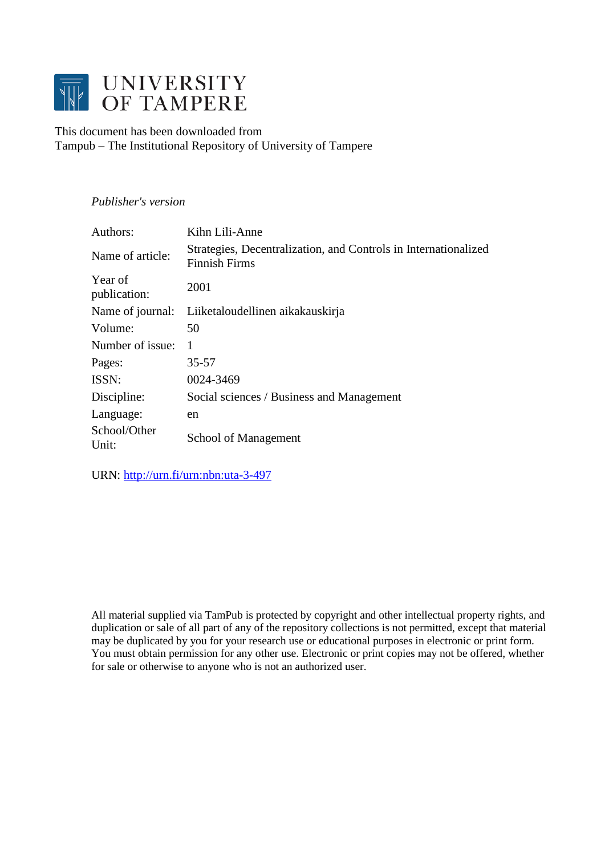

# This document has been downloaded from Tampub – The Institutional Repository of University of Tampere

# *Publisher's version*

| Authors:                | Kihn Lili-Anne                                                                          |
|-------------------------|-----------------------------------------------------------------------------------------|
| Name of article:        | Strategies, Decentralization, and Controls in Internationalized<br><b>Finnish Firms</b> |
| Year of<br>publication: | 2001                                                                                    |
|                         | Name of journal: Liiketaloudellinen aikakauskirja                                       |
| Volume:                 | 50                                                                                      |
| Number of issue:        | $\mathbf{1}$                                                                            |
| Pages:                  | 35-57                                                                                   |
| ISSN:                   | 0024-3469                                                                               |
| Discipline:             | Social sciences / Business and Management                                               |
| Language:               | en                                                                                      |
| School/Other<br>Unit:   | School of Management                                                                    |

URN:<http://urn.fi/urn:nbn:uta-3-497>

All material supplied via TamPub is protected by copyright and other intellectual property rights, and duplication or sale of all part of any of the repository collections is not permitted, except that material may be duplicated by you for your research use or educational purposes in electronic or print form. You must obtain permission for any other use. Electronic or print copies may not be offered, whether for sale or otherwise to anyone who is not an authorized user.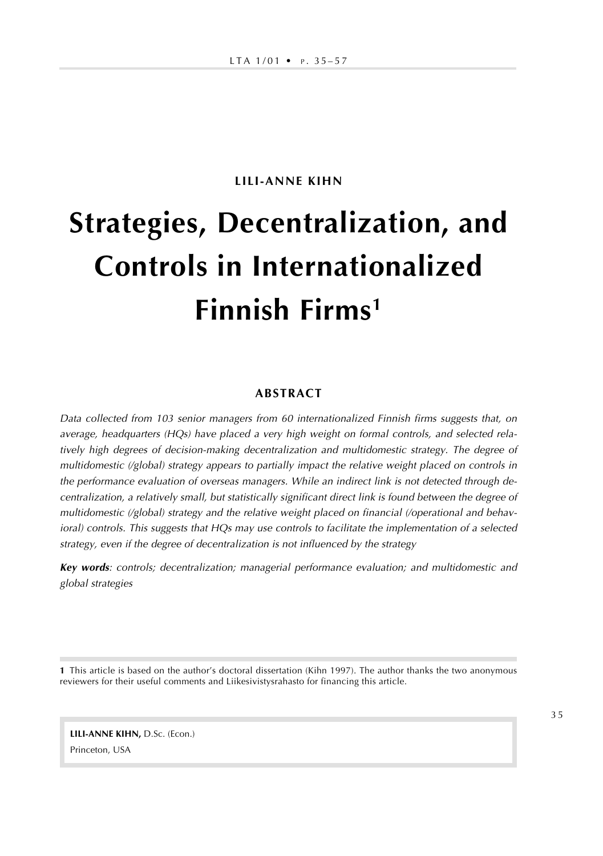## **LILI-ANNE KIHN**

# **Strategies, Decentralization, and Controls in Internationalized Finnish Firms<sup>1</sup>**

#### **ABSTRACT**

Data collected from 103 senior managers from 60 internationalized Finnish firms suggests that, on average, headquarters (HQs) have placed a very high weight on formal controls, and selected relatively high degrees of decision-making decentralization and multidomestic strategy. The degree of multidomestic (/global) strategy appears to partially impact the relative weight placed on controls in the performance evaluation of overseas managers. While an indirect link is not detected through decentralization, a relatively small, but statistically significant direct link is found between the degree of multidomestic (/global) strategy and the relative weight placed on financial (/operational and behavioral) controls. This suggests that HQs may use controls to facilitate the implementation of a selected strategy, even if the degree of decentralization is not influenced by the strategy

**Key words**: controls; decentralization; managerial performance evaluation; and multidomestic and global strategies

**1** This article is based on the author's doctoral dissertation (Kihn 1997). The author thanks the two anonymous reviewers for their useful comments and Liikesivistysrahasto for financing this article.

**LILI-ANNE KIHN,** D.Sc. (Econ.) Princeton, USA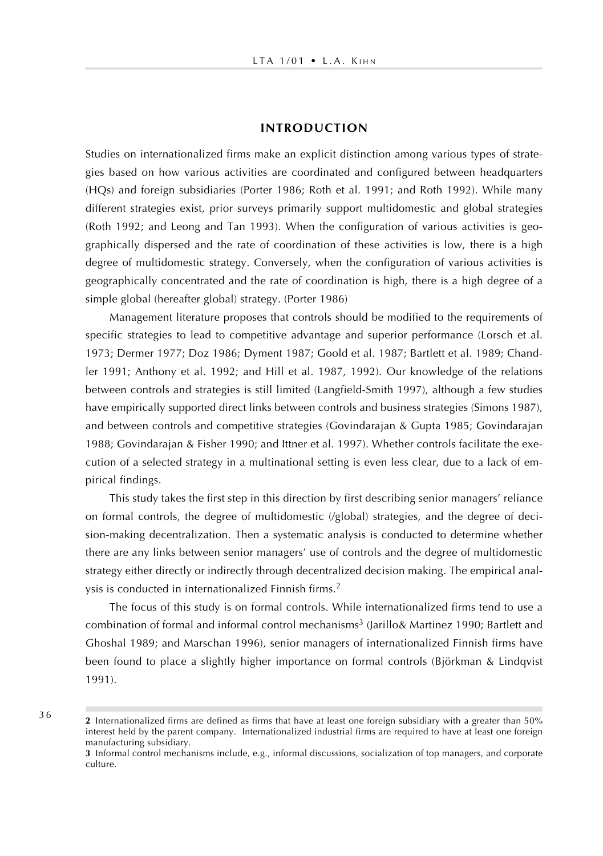#### **INTRODUCTION**

Studies on internationalized firms make an explicit distinction among various types of strategies based on how various activities are coordinated and configured between headquarters (HQs) and foreign subsidiaries (Porter 1986; Roth et al. 1991; and Roth 1992). While many different strategies exist, prior surveys primarily support multidomestic and global strategies (Roth 1992; and Leong and Tan 1993). When the configuration of various activities is geographically dispersed and the rate of coordination of these activities is low, there is a high degree of multidomestic strategy. Conversely, when the configuration of various activities is geographically concentrated and the rate of coordination is high, there is a high degree of a simple global (hereafter global) strategy. (Porter 1986)

Management literature proposes that controls should be modified to the requirements of specific strategies to lead to competitive advantage and superior performance (Lorsch et al. 1973; Dermer 1977; Doz 1986; Dyment 1987; Goold et al. 1987; Bartlett et al. 1989; Chandler 1991; Anthony et al. 1992; and Hill et al. 1987, 1992). Our knowledge of the relations between controls and strategies is still limited (Langfield-Smith 1997), although a few studies have empirically supported direct links between controls and business strategies (Simons 1987), and between controls and competitive strategies (Govindarajan & Gupta 1985; Govindarajan 1988; Govindarajan & Fisher 1990; and Ittner et al. 1997). Whether controls facilitate the execution of a selected strategy in a multinational setting is even less clear, due to a lack of empirical findings.

This study takes the first step in this direction by first describing senior managers' reliance on formal controls, the degree of multidomestic (/global) strategies, and the degree of decision-making decentralization. Then a systematic analysis is conducted to determine whether there are any links between senior managers' use of controls and the degree of multidomestic strategy either directly or indirectly through decentralized decision making. The empirical analysis is conducted in internationalized Finnish firms.<sup>2</sup>

The focus of this study is on formal controls. While internationalized firms tend to use a combination of formal and informal control mechanisms $^3$  (Jarillo& Martinez 1990; Bartlett and Ghoshal 1989; and Marschan 1996), senior managers of internationalized Finnish firms have been found to place a slightly higher importance on formal controls (Björkman & Lindqvist 1991).

**<sup>2</sup>** Internationalized firms are defined as firms that have at least one foreign subsidiary with a greater than 50% interest held by the parent company. Internationalized industrial firms are required to have at least one foreign manufacturing subsidiary.

**<sup>3</sup>** Informal control mechanisms include, e.g., informal discussions, socialization of top managers, and corporate culture.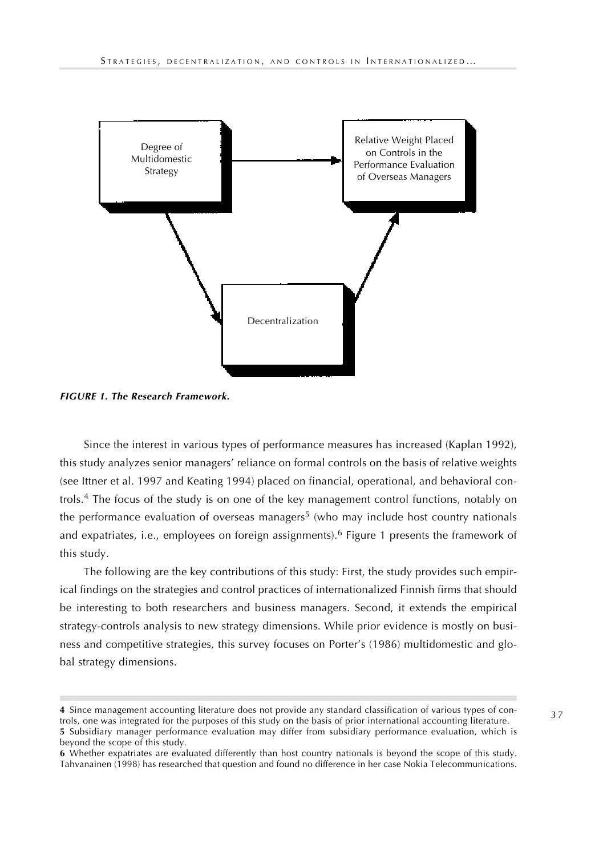

**FIGURE 1. The Research Framework.**

Since the interest in various types of performance measures has increased (Kaplan 1992), this study analyzes senior managers' reliance on formal controls on the basis of relative weights (see Ittner et al. 1997 and Keating 1994) placed on financial, operational, and behavioral controls.<sup>4</sup> The focus of the study is on one of the key management control functions, notably on the performance evaluation of overseas managers<sup>5</sup> (who may include host country nationals and expatriates, i.e., employees on foreign assignments).<sup>6</sup> Figure 1 presents the framework of this study.

The following are the key contributions of this study: First, the study provides such empirical findings on the strategies and control practices of internationalized Finnish firms that should be interesting to both researchers and business managers. Second, it extends the empirical strategy-controls analysis to new strategy dimensions. While prior evidence is mostly on business and competitive strategies, this survey focuses on Porter's (1986) multidomestic and global strategy dimensions.

**<sup>4</sup>** Since management accounting literature does not provide any standard classification of various types of controls, one was integrated for the purposes of this study on the basis of prior international accounting literature. **5** Subsidiary manager performance evaluation may differ from subsidiary performance evaluation, which is beyond the scope of this study.

**<sup>6</sup>** Whether expatriates are evaluated differently than host country nationals is beyond the scope of this study. Tahvanainen (1998) has researched that question and found no difference in her case Nokia Telecommunications.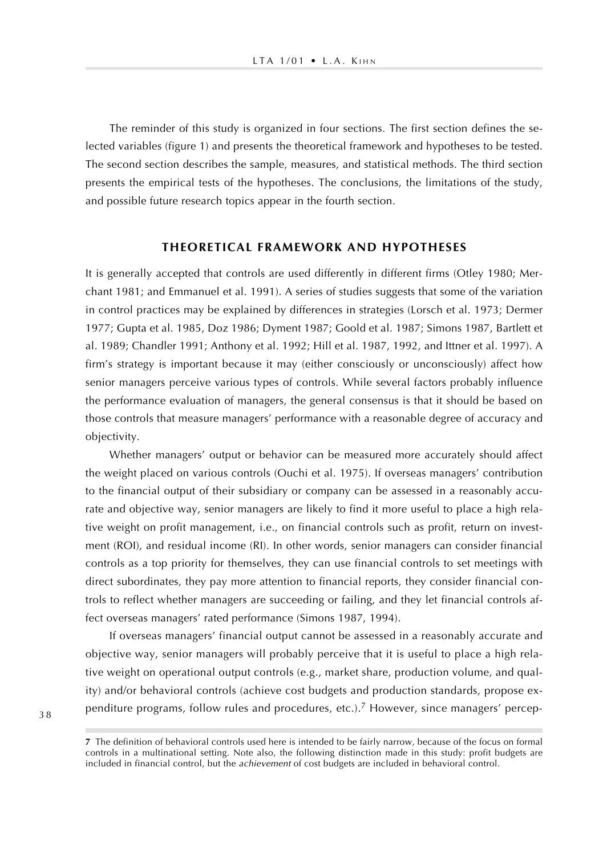The reminder of this study is organized in four sections. The first section defines the selected variables (figure 1) and presents the theoretical framework and hypotheses to be tested. The second section describes the sample, measures, and statistical methods. The third section presents the empirical tests of the hypotheses. The conclusions, the limitations of the study, and possible future research topics appear in the fourth section.

## **THEORETICAL FRAMEWORK AND HYPOTHESES**

It is generally accepted that controls are used differently in different firms (Otley 1980; Merchant 1981; and Emmanuel et al. 1991). A series of studies suggests that some of the variation in control practices may be explained by differences in strategies (Lorsch et al. 1973; Dermer 1977; Gupta et al. 1985, Doz 1986; Dyment 1987; Goold et al. 1987; Simons 1987, Bartlett et al. 1989; Chandler 1991; Anthony et al. 1992; Hill et al. 1987, 1992, and Ittner et al. 1997). A firm's strategy is important because it may (either consciously or unconsciously) affect how senior managers perceive various types of controls. While several factors probably influence the performance evaluation of managers, the general consensus is that it should be based on those controls that measure managers' performance with a reasonable degree of accuracy and objectivity.

Whether managers' output or behavior can be measured more accurately should affect the weight placed on various controls (Ouchi et al. 1975). If overseas managers' contribution to the financial output of their subsidiary or company can be assessed in a reasonably accurate and objective way, senior managers are likely to find it more useful to place a high relative weight on profit management, i.e., on financial controls such as profit, return on investment (ROI), and residual income (RI). In other words, senior managers can consider financial controls as a top priority for themselves, they can use financial controls to set meetings with direct subordinates, they pay more attention to financial reports, they consider financial controls to reflect whether managers are succeeding or failing, and they let financial controls affect overseas managers' rated performance (Simons 1987, 1994).

If overseas managers' financial output cannot be assessed in a reasonably accurate and objective way, senior managers will probably perceive that it is useful to place a high relative weight on operational output controls (e.g., market share, production volume, and quality) and/or behavioral controls (achieve cost budgets and production standards, propose expenditure programs, follow rules and procedures, etc.).<sup>7</sup> However, since managers' percep-

**<sup>7</sup>** The definition of behavioral controls used here is intended to be fairly narrow, because of the focus on formal controls in a multinational setting. Note also, the following distinction made in this study: profit budgets are included in financial control, but the achievement of cost budgets are included in behavioral control.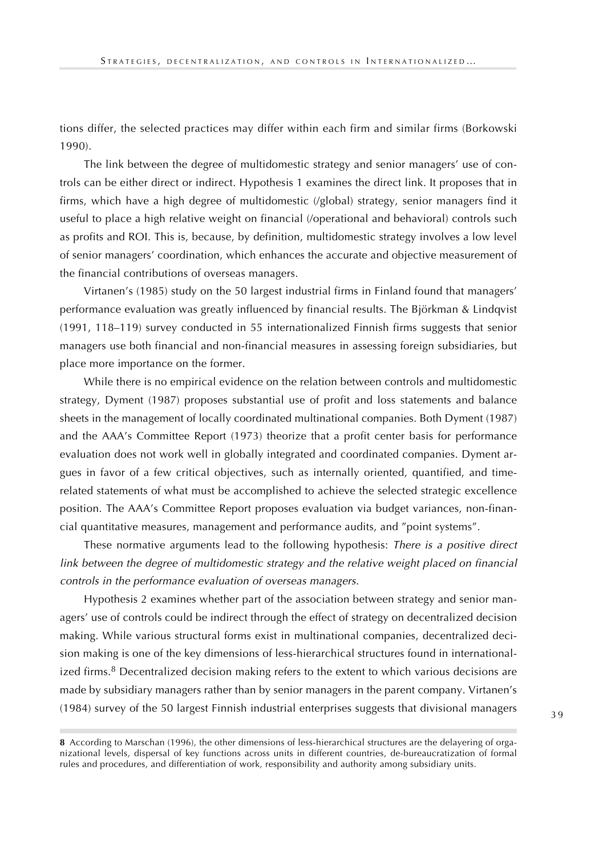tions differ, the selected practices may differ within each firm and similar firms (Borkowski 1990).

The link between the degree of multidomestic strategy and senior managers' use of controls can be either direct or indirect. Hypothesis 1 examines the direct link. It proposes that in firms, which have a high degree of multidomestic (/global) strategy, senior managers find it useful to place a high relative weight on financial (/operational and behavioral) controls such as profits and ROI. This is, because, by definition, multidomestic strategy involves a low level of senior managers' coordination, which enhances the accurate and objective measurement of the financial contributions of overseas managers.

Virtanen's (1985) study on the 50 largest industrial firms in Finland found that managers' performance evaluation was greatly influenced by financial results. The Björkman & Lindqvist (1991, 118–119) survey conducted in 55 internationalized Finnish firms suggests that senior managers use both financial and non-financial measures in assessing foreign subsidiaries, but place more importance on the former.

While there is no empirical evidence on the relation between controls and multidomestic strategy, Dyment (1987) proposes substantial use of profit and loss statements and balance sheets in the management of locally coordinated multinational companies. Both Dyment (1987) and the AAA's Committee Report (1973) theorize that a profit center basis for performance evaluation does not work well in globally integrated and coordinated companies. Dyment argues in favor of a few critical objectives, such as internally oriented, quantified, and timerelated statements of what must be accomplished to achieve the selected strategic excellence position. The AAA's Committee Report proposes evaluation via budget variances, non-financial quantitative measures, management and performance audits, and "point systems".

These normative arguments lead to the following hypothesis: There is a positive direct link between the degree of multidomestic strategy and the relative weight placed on financial controls in the performance evaluation of overseas managers.

Hypothesis 2 examines whether part of the association between strategy and senior managers' use of controls could be indirect through the effect of strategy on decentralized decision making. While various structural forms exist in multinational companies, decentralized decision making is one of the key dimensions of less-hierarchical structures found in internationalized firms.<sup>8</sup> Decentralized decision making refers to the extent to which various decisions are made by subsidiary managers rather than by senior managers in the parent company. Virtanen's (1984) survey of the 50 largest Finnish industrial enterprises suggests that divisional managers

**<sup>8</sup>** According to Marschan (1996), the other dimensions of less-hierarchical structures are the delayering of organizational levels, dispersal of key functions across units in different countries, de-bureaucratization of formal rules and procedures, and differentiation of work, responsibility and authority among subsidiary units.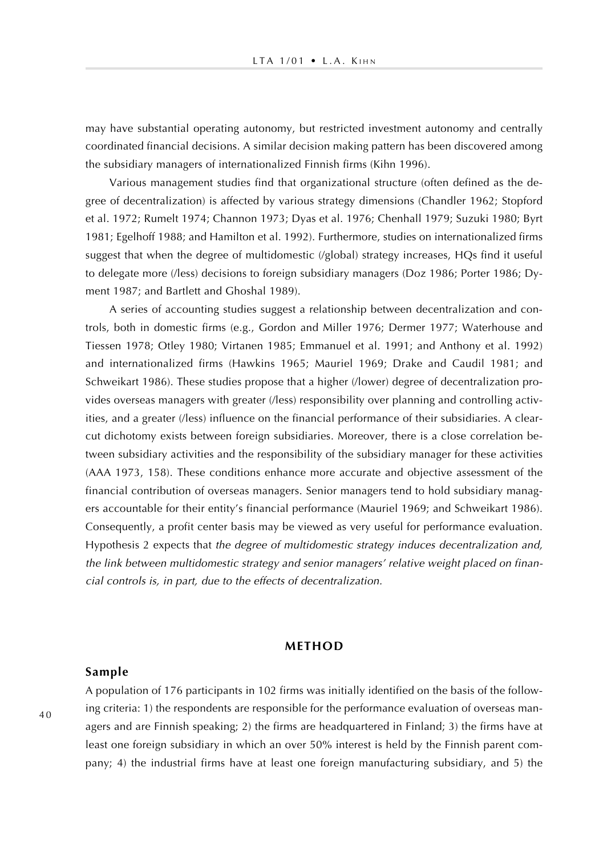may have substantial operating autonomy, but restricted investment autonomy and centrally coordinated financial decisions. A similar decision making pattern has been discovered among the subsidiary managers of internationalized Finnish firms (Kihn 1996).

Various management studies find that organizational structure (often defined as the degree of decentralization) is affected by various strategy dimensions (Chandler 1962; Stopford et al. 1972; Rumelt 1974; Channon 1973; Dyas et al. 1976; Chenhall 1979; Suzuki 1980; Byrt 1981; Egelhoff 1988; and Hamilton et al. 1992). Furthermore, studies on internationalized firms suggest that when the degree of multidomestic (/global) strategy increases, HQs find it useful to delegate more (/less) decisions to foreign subsidiary managers (Doz 1986; Porter 1986; Dyment 1987; and Bartlett and Ghoshal 1989).

A series of accounting studies suggest a relationship between decentralization and controls, both in domestic firms (e.g., Gordon and Miller 1976; Dermer 1977; Waterhouse and Tiessen 1978; Otley 1980; Virtanen 1985; Emmanuel et al. 1991; and Anthony et al. 1992) and internationalized firms (Hawkins 1965; Mauriel 1969; Drake and Caudil 1981; and Schweikart 1986). These studies propose that a higher (/lower) degree of decentralization provides overseas managers with greater (/less) responsibility over planning and controlling activities, and a greater (/less) influence on the financial performance of their subsidiaries. A clearcut dichotomy exists between foreign subsidiaries. Moreover, there is a close correlation between subsidiary activities and the responsibility of the subsidiary manager for these activities (AAA 1973, 158). These conditions enhance more accurate and objective assessment of the financial contribution of overseas managers. Senior managers tend to hold subsidiary managers accountable for their entity's financial performance (Mauriel 1969; and Schweikart 1986). Consequently, a profit center basis may be viewed as very useful for performance evaluation. Hypothesis 2 expects that the degree of multidomestic strategy induces decentralization and, the link between multidomestic strategy and senior managers' relative weight placed on financial controls is, in part, due to the effects of decentralization.

## **METHOD**

#### **Sample**

A population of 176 participants in 102 firms was initially identified on the basis of the following criteria: 1) the respondents are responsible for the performance evaluation of overseas managers and are Finnish speaking; 2) the firms are headquartered in Finland; 3) the firms have at least one foreign subsidiary in which an over 50% interest is held by the Finnish parent company; 4) the industrial firms have at least one foreign manufacturing subsidiary, and 5) the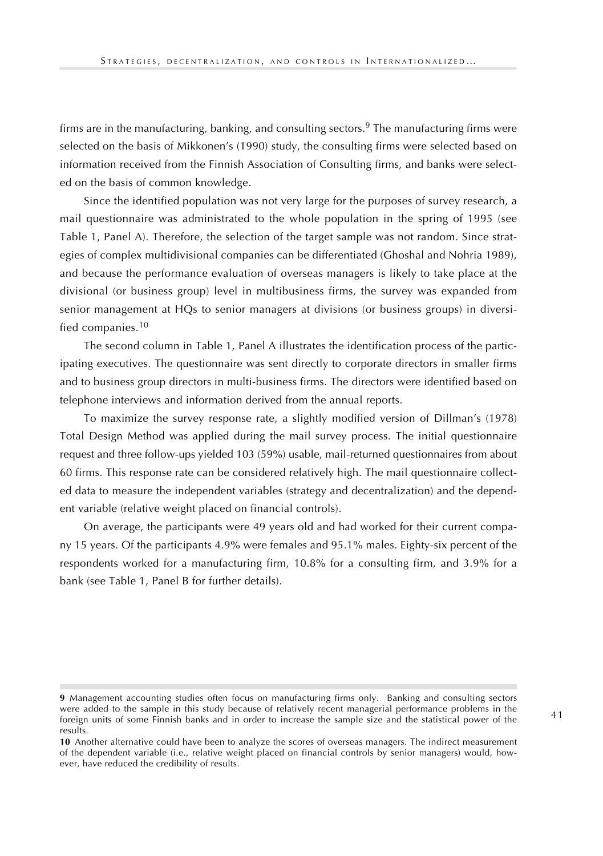firms are in the manufacturing, banking, and consulting sectors.<sup>9</sup> The manufacturing firms were selected on the basis of Mikkonen's (1990) study, the consulting firms were selected based on information received from the Finnish Association of Consulting firms, and banks were selected on the basis of common knowledge.

Since the identified population was not very large for the purposes of survey research, a mail questionnaire was administrated to the whole population in the spring of 1995 (see Table 1, Panel A). Therefore, the selection of the target sample was not random. Since strategies of complex multidivisional companies can be differentiated (Ghoshal and Nohria 1989), and because the performance evaluation of overseas managers is likely to take place at the divisional (or business group) level in multibusiness firms, the survey was expanded from senior management at HQs to senior managers at divisions (or business groups) in diversified companies.<sup>10</sup>

The second column in Table 1, Panel A illustrates the identification process of the participating executives. The questionnaire was sent directly to corporate directors in smaller firms and to business group directors in multi-business firms. The directors were identified based on telephone interviews and information derived from the annual reports.

To maximize the survey response rate, a slightly modified version of Dillman's (1978) Total Design Method was applied during the mail survey process. The initial questionnaire request and three follow-ups yielded 103 (59%) usable, mail-returned questionnaires from about 60 firms. This response rate can be considered relatively high. The mail questionnaire collected data to measure the independent variables (strategy and decentralization) and the dependent variable (relative weight placed on financial controls).

On average, the participants were 49 years old and had worked for their current company 15 years. Of the participants 4.9% were females and 95.1% males. Eighty-six percent of the respondents worked for a manufacturing firm, 10.8% for a consulting firm, and 3.9% for a bank (see Table 1, Panel B for further details).

**<sup>9</sup>** Management accounting studies often focus on manufacturing firms only. Banking and consulting sectors were added to the sample in this study because of relatively recent managerial performance problems in the foreign units of some Finnish banks and in order to increase the sample size and the statistical power of the results.

**<sup>10</sup>** Another alternative could have been to analyze the scores of overseas managers. The indirect measurement of the dependent variable (i.e., relative weight placed on financial controls by senior managers) would, however, have reduced the credibility of results.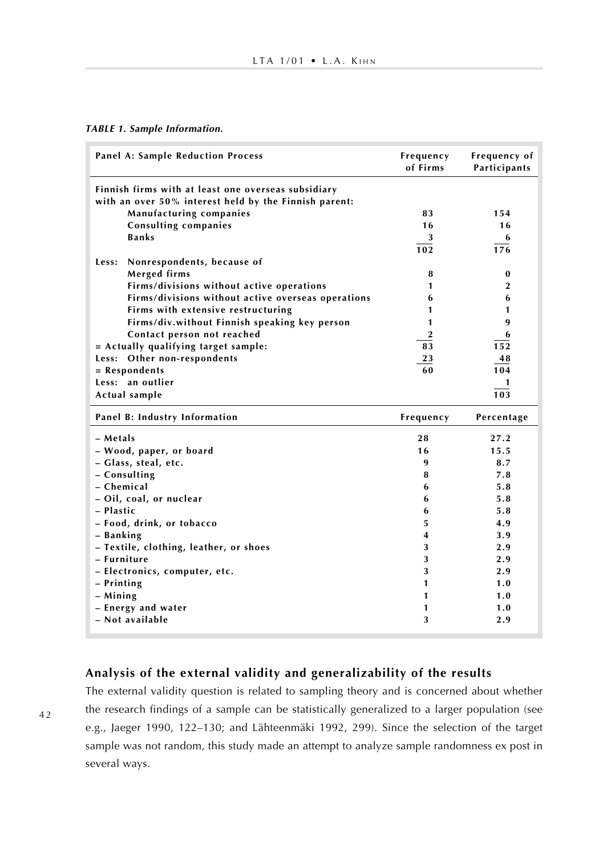#### **TABLE 1. Sample Information.**

| Finnish firms with at least one overseas subsidiary<br>with an over 50% interest held by the Finnish parent:<br>Manufacturing companies<br>83<br>154<br><b>Consulting companies</b><br>16<br>16<br><b>Banks</b><br>3<br>6<br>102<br>176<br>Nonrespondents, because of<br>Less:<br>Merged firms<br>8<br>$\bf{0}$<br>Firms/divisions without active operations<br>$\overline{2}$<br>1<br>Firms/divisions without active overseas operations<br>6<br>6<br>Firms with extensive restructuring<br>1<br>1<br>Firms/div.without Finnish speaking key person<br>9<br>1<br>Contact person not reached<br>$\overline{2}$<br>6<br>= Actually qualifying target sample:<br>83<br>152<br>Less: Other non-respondents<br>23<br>48<br>$=$ Respondents<br>60<br>104<br>Less: an outlier<br>1<br>103<br>Actual sample<br>Panel B: Industry Information<br>Frequency<br>Percentage<br>- Metals<br>28<br>27.2<br>15.5<br>- Wood, paper, or board<br>16<br>- Glass, steal, etc.<br>9<br>8.7<br>- Consulting<br>7.8<br>8<br>- Chemical<br>5.8<br>6<br>- Oil, coal, or nuclear<br>5.8<br>6<br>- Plastic<br>5.8<br>6<br>- Food, drink, or tobacco<br>5<br>4.9<br>4<br>3.9<br>- Banking<br>- Textile, clothing, leather, or shoes<br>3<br>2.9<br>- Furniture<br>3<br>2.9<br>- Electronics, computer, etc.<br>3<br>2.9<br>- Printing<br>1<br>1.0<br>$-$ Mining<br>1<br>1.0<br>- Energy and water<br>1<br>1.0<br>- Not available<br>3<br>2.9 | <b>Panel A: Sample Reduction Process</b> | Frequency<br>of Firms | Frequency of<br>Participants |
|--------------------------------------------------------------------------------------------------------------------------------------------------------------------------------------------------------------------------------------------------------------------------------------------------------------------------------------------------------------------------------------------------------------------------------------------------------------------------------------------------------------------------------------------------------------------------------------------------------------------------------------------------------------------------------------------------------------------------------------------------------------------------------------------------------------------------------------------------------------------------------------------------------------------------------------------------------------------------------------------------------------------------------------------------------------------------------------------------------------------------------------------------------------------------------------------------------------------------------------------------------------------------------------------------------------------------------------------------------------------------------------------------------------------|------------------------------------------|-----------------------|------------------------------|
|                                                                                                                                                                                                                                                                                                                                                                                                                                                                                                                                                                                                                                                                                                                                                                                                                                                                                                                                                                                                                                                                                                                                                                                                                                                                                                                                                                                                                    |                                          |                       |                              |
|                                                                                                                                                                                                                                                                                                                                                                                                                                                                                                                                                                                                                                                                                                                                                                                                                                                                                                                                                                                                                                                                                                                                                                                                                                                                                                                                                                                                                    |                                          |                       |                              |
|                                                                                                                                                                                                                                                                                                                                                                                                                                                                                                                                                                                                                                                                                                                                                                                                                                                                                                                                                                                                                                                                                                                                                                                                                                                                                                                                                                                                                    |                                          |                       |                              |
|                                                                                                                                                                                                                                                                                                                                                                                                                                                                                                                                                                                                                                                                                                                                                                                                                                                                                                                                                                                                                                                                                                                                                                                                                                                                                                                                                                                                                    |                                          |                       |                              |
|                                                                                                                                                                                                                                                                                                                                                                                                                                                                                                                                                                                                                                                                                                                                                                                                                                                                                                                                                                                                                                                                                                                                                                                                                                                                                                                                                                                                                    |                                          |                       |                              |
|                                                                                                                                                                                                                                                                                                                                                                                                                                                                                                                                                                                                                                                                                                                                                                                                                                                                                                                                                                                                                                                                                                                                                                                                                                                                                                                                                                                                                    |                                          |                       |                              |
|                                                                                                                                                                                                                                                                                                                                                                                                                                                                                                                                                                                                                                                                                                                                                                                                                                                                                                                                                                                                                                                                                                                                                                                                                                                                                                                                                                                                                    |                                          |                       |                              |
|                                                                                                                                                                                                                                                                                                                                                                                                                                                                                                                                                                                                                                                                                                                                                                                                                                                                                                                                                                                                                                                                                                                                                                                                                                                                                                                                                                                                                    |                                          |                       |                              |
|                                                                                                                                                                                                                                                                                                                                                                                                                                                                                                                                                                                                                                                                                                                                                                                                                                                                                                                                                                                                                                                                                                                                                                                                                                                                                                                                                                                                                    |                                          |                       |                              |
|                                                                                                                                                                                                                                                                                                                                                                                                                                                                                                                                                                                                                                                                                                                                                                                                                                                                                                                                                                                                                                                                                                                                                                                                                                                                                                                                                                                                                    |                                          |                       |                              |
|                                                                                                                                                                                                                                                                                                                                                                                                                                                                                                                                                                                                                                                                                                                                                                                                                                                                                                                                                                                                                                                                                                                                                                                                                                                                                                                                                                                                                    |                                          |                       |                              |
|                                                                                                                                                                                                                                                                                                                                                                                                                                                                                                                                                                                                                                                                                                                                                                                                                                                                                                                                                                                                                                                                                                                                                                                                                                                                                                                                                                                                                    |                                          |                       |                              |
|                                                                                                                                                                                                                                                                                                                                                                                                                                                                                                                                                                                                                                                                                                                                                                                                                                                                                                                                                                                                                                                                                                                                                                                                                                                                                                                                                                                                                    |                                          |                       |                              |
|                                                                                                                                                                                                                                                                                                                                                                                                                                                                                                                                                                                                                                                                                                                                                                                                                                                                                                                                                                                                                                                                                                                                                                                                                                                                                                                                                                                                                    |                                          |                       |                              |
|                                                                                                                                                                                                                                                                                                                                                                                                                                                                                                                                                                                                                                                                                                                                                                                                                                                                                                                                                                                                                                                                                                                                                                                                                                                                                                                                                                                                                    |                                          |                       |                              |
|                                                                                                                                                                                                                                                                                                                                                                                                                                                                                                                                                                                                                                                                                                                                                                                                                                                                                                                                                                                                                                                                                                                                                                                                                                                                                                                                                                                                                    |                                          |                       |                              |
|                                                                                                                                                                                                                                                                                                                                                                                                                                                                                                                                                                                                                                                                                                                                                                                                                                                                                                                                                                                                                                                                                                                                                                                                                                                                                                                                                                                                                    |                                          |                       |                              |
|                                                                                                                                                                                                                                                                                                                                                                                                                                                                                                                                                                                                                                                                                                                                                                                                                                                                                                                                                                                                                                                                                                                                                                                                                                                                                                                                                                                                                    |                                          |                       |                              |
|                                                                                                                                                                                                                                                                                                                                                                                                                                                                                                                                                                                                                                                                                                                                                                                                                                                                                                                                                                                                                                                                                                                                                                                                                                                                                                                                                                                                                    |                                          |                       |                              |
|                                                                                                                                                                                                                                                                                                                                                                                                                                                                                                                                                                                                                                                                                                                                                                                                                                                                                                                                                                                                                                                                                                                                                                                                                                                                                                                                                                                                                    |                                          |                       |                              |
|                                                                                                                                                                                                                                                                                                                                                                                                                                                                                                                                                                                                                                                                                                                                                                                                                                                                                                                                                                                                                                                                                                                                                                                                                                                                                                                                                                                                                    |                                          |                       |                              |
|                                                                                                                                                                                                                                                                                                                                                                                                                                                                                                                                                                                                                                                                                                                                                                                                                                                                                                                                                                                                                                                                                                                                                                                                                                                                                                                                                                                                                    |                                          |                       |                              |
|                                                                                                                                                                                                                                                                                                                                                                                                                                                                                                                                                                                                                                                                                                                                                                                                                                                                                                                                                                                                                                                                                                                                                                                                                                                                                                                                                                                                                    |                                          |                       |                              |
|                                                                                                                                                                                                                                                                                                                                                                                                                                                                                                                                                                                                                                                                                                                                                                                                                                                                                                                                                                                                                                                                                                                                                                                                                                                                                                                                                                                                                    |                                          |                       |                              |
|                                                                                                                                                                                                                                                                                                                                                                                                                                                                                                                                                                                                                                                                                                                                                                                                                                                                                                                                                                                                                                                                                                                                                                                                                                                                                                                                                                                                                    |                                          |                       |                              |
|                                                                                                                                                                                                                                                                                                                                                                                                                                                                                                                                                                                                                                                                                                                                                                                                                                                                                                                                                                                                                                                                                                                                                                                                                                                                                                                                                                                                                    |                                          |                       |                              |
|                                                                                                                                                                                                                                                                                                                                                                                                                                                                                                                                                                                                                                                                                                                                                                                                                                                                                                                                                                                                                                                                                                                                                                                                                                                                                                                                                                                                                    |                                          |                       |                              |
|                                                                                                                                                                                                                                                                                                                                                                                                                                                                                                                                                                                                                                                                                                                                                                                                                                                                                                                                                                                                                                                                                                                                                                                                                                                                                                                                                                                                                    |                                          |                       |                              |
|                                                                                                                                                                                                                                                                                                                                                                                                                                                                                                                                                                                                                                                                                                                                                                                                                                                                                                                                                                                                                                                                                                                                                                                                                                                                                                                                                                                                                    |                                          |                       |                              |
|                                                                                                                                                                                                                                                                                                                                                                                                                                                                                                                                                                                                                                                                                                                                                                                                                                                                                                                                                                                                                                                                                                                                                                                                                                                                                                                                                                                                                    |                                          |                       |                              |
|                                                                                                                                                                                                                                                                                                                                                                                                                                                                                                                                                                                                                                                                                                                                                                                                                                                                                                                                                                                                                                                                                                                                                                                                                                                                                                                                                                                                                    |                                          |                       |                              |
|                                                                                                                                                                                                                                                                                                                                                                                                                                                                                                                                                                                                                                                                                                                                                                                                                                                                                                                                                                                                                                                                                                                                                                                                                                                                                                                                                                                                                    |                                          |                       |                              |
|                                                                                                                                                                                                                                                                                                                                                                                                                                                                                                                                                                                                                                                                                                                                                                                                                                                                                                                                                                                                                                                                                                                                                                                                                                                                                                                                                                                                                    |                                          |                       |                              |
|                                                                                                                                                                                                                                                                                                                                                                                                                                                                                                                                                                                                                                                                                                                                                                                                                                                                                                                                                                                                                                                                                                                                                                                                                                                                                                                                                                                                                    |                                          |                       |                              |
|                                                                                                                                                                                                                                                                                                                                                                                                                                                                                                                                                                                                                                                                                                                                                                                                                                                                                                                                                                                                                                                                                                                                                                                                                                                                                                                                                                                                                    |                                          |                       |                              |

# **Analysis of the external validity and generalizability of the results**

The external validity question is related to sampling theory and is concerned about whether the research findings of a sample can be statistically generalized to a larger population (see e.g., Jaeger 1990, 122–130; and Lähteenmäki 1992, 299). Since the selection of the target sample was not random, this study made an attempt to analyze sample randomness ex post in several ways.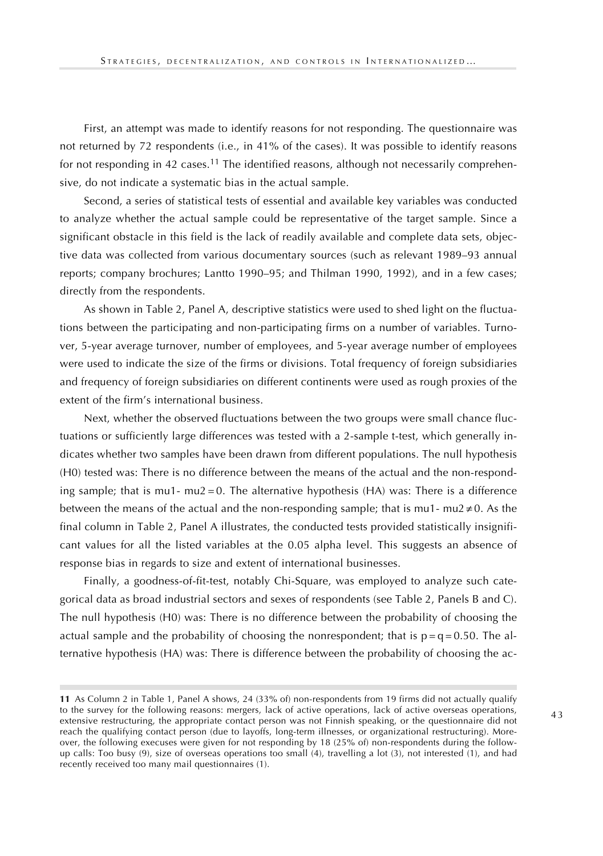First, an attempt was made to identify reasons for not responding. The questionnaire was not returned by 72 respondents (i.e., in 41% of the cases). It was possible to identify reasons for not responding in 42 cases.<sup>11</sup> The identified reasons, although not necessarily comprehensive, do not indicate a systematic bias in the actual sample.

Second, a series of statistical tests of essential and available key variables was conducted to analyze whether the actual sample could be representative of the target sample. Since a significant obstacle in this field is the lack of readily available and complete data sets, objective data was collected from various documentary sources (such as relevant 1989–93 annual reports; company brochures; Lantto 1990–95; and Thilman 1990, 1992), and in a few cases; directly from the respondents.

As shown in Table 2, Panel A, descriptive statistics were used to shed light on the fluctuations between the participating and non-participating firms on a number of variables. Turnover, 5-year average turnover, number of employees, and 5-year average number of employees were used to indicate the size of the firms or divisions. Total frequency of foreign subsidiaries and frequency of foreign subsidiaries on different continents were used as rough proxies of the extent of the firm's international business.

Next, whether the observed fluctuations between the two groups were small chance fluctuations or sufficiently large differences was tested with a 2-sample t-test, which generally indicates whether two samples have been drawn from different populations. The null hypothesis (H0) tested was: There is no difference between the means of the actual and the non-responding sample; that is mu1- mu2 = 0. The alternative hypothesis (HA) was: There is a difference between the means of the actual and the non-responding sample; that is mu1- mu2  $\neq$ 0. As the final column in Table 2, Panel A illustrates, the conducted tests provided statistically insignificant values for all the listed variables at the 0.05 alpha level. This suggests an absence of response bias in regards to size and extent of international businesses.

Finally, a goodness-of-fit-test, notably Chi-Square, was employed to analyze such categorical data as broad industrial sectors and sexes of respondents (see Table 2, Panels B and C). The null hypothesis (H0) was: There is no difference between the probability of choosing the actual sample and the probability of choosing the nonrespondent; that is  $p = q = 0.50$ . The alternative hypothesis (HA) was: There is difference between the probability of choosing the ac-

**<sup>11</sup>** As Column 2 in Table 1, Panel A shows, 24 (33% of) non-respondents from 19 firms did not actually qualify to the survey for the following reasons: mergers, lack of active operations, lack of active overseas operations, extensive restructuring, the appropriate contact person was not Finnish speaking, or the questionnaire did not reach the qualifying contact person (due to layoffs, long-term illnesses, or organizational restructuring). Moreover, the following execuses were given for not responding by 18 (25% of) non-respondents during the followup calls: Too busy (9), size of overseas operations too small (4), travelling a lot (3), not interested (1), and had recently received too many mail questionnaires (1).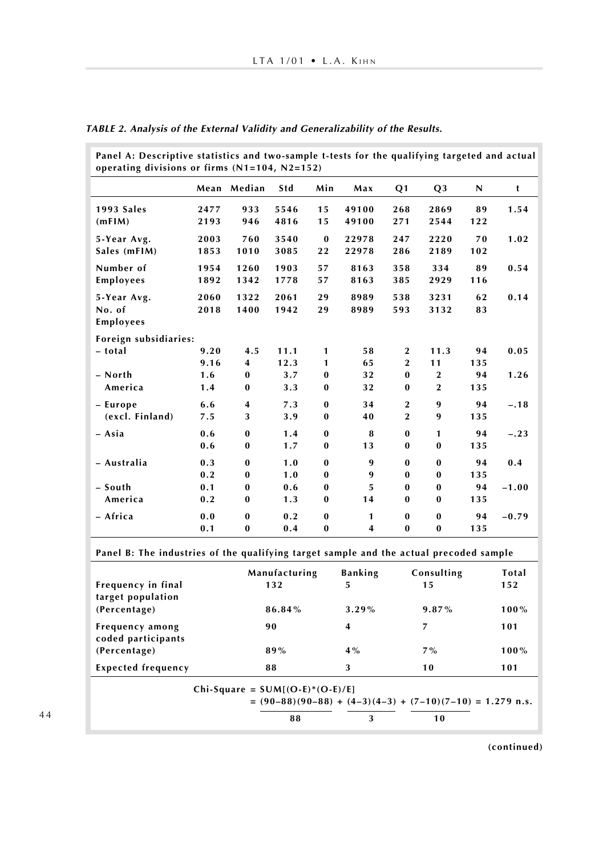| Panel A: Descriptive statistics and two-sample t-tests for the qualifying targeted and actual<br>operating divisions or firms $(N1=104, N2=152)$ |      |              |            |              |       |                |                |     |         |
|--------------------------------------------------------------------------------------------------------------------------------------------------|------|--------------|------------|--------------|-------|----------------|----------------|-----|---------|
|                                                                                                                                                  |      | Mean Median  | <b>Std</b> | Min          | Max   | Q <sub>1</sub> | Q <sub>3</sub> | N   | t       |
| 1993 Sales                                                                                                                                       | 2477 | 933          | 5546       | 15           | 49100 | 268            | 2869           | 89  | 1.54    |
| (mFIM)                                                                                                                                           | 2193 | 946          | 4816       | 15           | 49100 | 271            | 2544           | 122 |         |
| 5-Year Avg.                                                                                                                                      | 2003 | 760          | 3540       | $\bf{0}$     | 22978 | 247            | 2220           | 70  | 1.02    |
| Sales (mFIM)                                                                                                                                     | 1853 | 1010         | 3085       | 22           | 22978 | 286            | 2189           | 102 |         |
| Number of                                                                                                                                        | 1954 | 1260         | 1903       | 57           | 8163  | 358            | 334            | 89  | 0.54    |
| Employees                                                                                                                                        | 1892 | 1342         | 1778       | 57           | 8163  | 385            | 2929           | 116 |         |
| 5-Year Avg.                                                                                                                                      | 2060 | 1322         | 2061       | 29           | 8989  | 538            | 3231           | 62  | 0.14    |
| No. of                                                                                                                                           | 2018 | 1400         | 1942       | 29           | 8989  | 593            | 3132           | 83  |         |
| Employees                                                                                                                                        |      |              |            |              |       |                |                |     |         |
| Foreign subsidiaries:                                                                                                                            |      |              |            |              |       |                |                |     |         |
| - total                                                                                                                                          | 9.20 | 4.5          | 11.1       | 1            | 58    | $\overline{2}$ | 11.3           | 94  | 0.05    |
|                                                                                                                                                  | 9.16 | 4            | 12.3       | 1            | 65    | $\overline{2}$ | 11             | 135 |         |
| - North                                                                                                                                          | 1.6  | $\bf{0}$     | 3.7        | $\bf{0}$     | 32    | $\bf{0}$       | $\overline{2}$ | 94  | 1.26    |
| America                                                                                                                                          | 1.4  | $\bf{0}$     | 3.3        | $\bf{0}$     | 32    | $\bf{0}$       | $\overline{2}$ | 135 |         |
| - Europe                                                                                                                                         | 6.6  | 4            | 7.3        | $\bf{0}$     | 34    | $\overline{2}$ | 9              | 94  | $-.18$  |
| (excl. Finland)                                                                                                                                  | 7.5  | 3            | 3.9        | $\bf{0}$     | 40    | $\overline{2}$ | 9              | 135 |         |
| - Asia                                                                                                                                           | 0.6  | $\bf{0}$     | 1.4        | $\bf{0}$     | 8     | $\bf{0}$       | $\mathbf{1}$   | 94  | $-.23$  |
|                                                                                                                                                  | 0.6  | $\bf{0}$     | 1.7        | $\bf{0}$     | 13    | $\bf{0}$       | $\bf{0}$       | 135 |         |
| - Australia                                                                                                                                      | 0.3  | $\bf{0}$     | 1.0        | $\mathbf{0}$ | 9     | $\bf{0}$       | $\bf{0}$       | 94  | 0.4     |
|                                                                                                                                                  | 0.2  | $\bf{0}$     | 1.0        | $\bf{0}$     | 9     | $\bf{0}$       | $\bf{0}$       | 135 |         |
| - South                                                                                                                                          | 0.1  | $\bf{0}$     | 0.6        | $\bf{0}$     | 5     | $\bf{0}$       | $\bf{0}$       | 94  | $-1.00$ |
| America                                                                                                                                          | 0.2  | $\bf{0}$     | 1.3        | $\bf{0}$     | 14    | $\bf{0}$       | $\bf{0}$       | 135 |         |
| - Africa                                                                                                                                         | 0.0  | $\mathbf{0}$ | 0.2        | $\bf{0}$     | 1     | $\mathbf{0}$   | $\mathbf{0}$   | 94  | $-0.79$ |
|                                                                                                                                                  | 0.1  | $\bf{0}$     | 0.4        | $\bf{0}$     | 4     | $\bf{0}$       | $\bf{0}$       | 135 |         |

**TABLE 2. Analysis of the External Validity and Generalizability of the Results.**

**Panel B: The industries of the qualifying target sample and the actual precoded sample**

| Frequency in final<br>target population | Manufacturing<br>132 | <b>Banking</b><br>5     | Consulting<br>15 | Total<br>152 |
|-----------------------------------------|----------------------|-------------------------|------------------|--------------|
| (Percentage)                            | 86.84%               | $3.29\%$                | $9.87\%$         | $100\%$      |
| Frequency among<br>coded participants   | 90                   | $\overline{\mathbf{4}}$ | 7                | 101          |
| (Percentage)                            | 89%                  | $4\%$                   | $7\%$            | $100\%$      |
| <b>Expected frequency</b>               | 88                   | 3                       | 10               | 101          |

**Chi-Square = SUM[(O-E)\*(O-E)/E]**

**= (90–88)(90–88) + (4–3)(4–3) + (7–10)(7–10) = 1.279 n.s. 88 3 10**

**(continued)**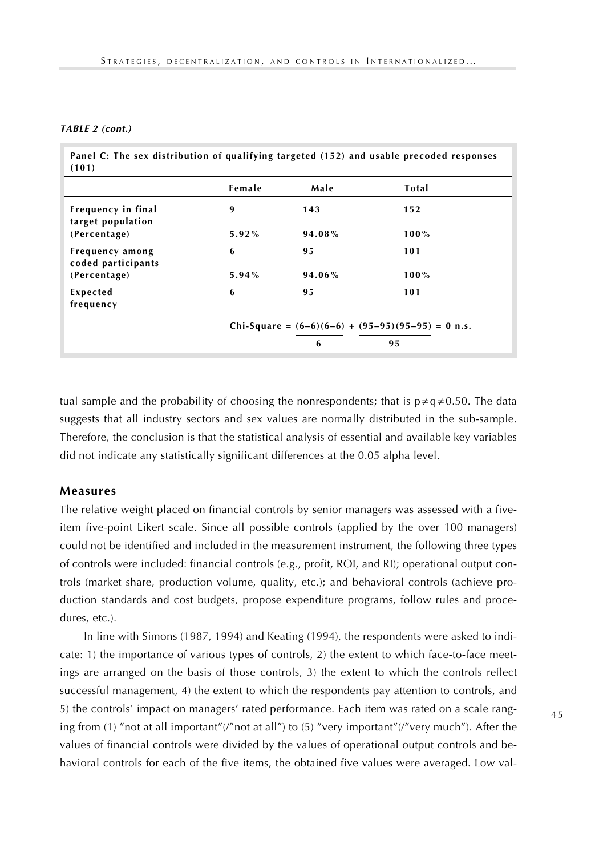#### **TABLE 2 (cont.)**

| Panel C: The sex distribution of qualifying targeted (152) and usable precoded responses |  |  |
|------------------------------------------------------------------------------------------|--|--|
| (101)                                                                                    |  |  |

|                                         | Female                                                         | Male   | Total   |  |  |  |
|-----------------------------------------|----------------------------------------------------------------|--------|---------|--|--|--|
| Frequency in final<br>target population | 9                                                              | 143    | 152     |  |  |  |
| (Percentage)                            | 5.92%                                                          | 94.08% | $100\%$ |  |  |  |
| Frequency among<br>coded participants   | 6                                                              | 95     | 101     |  |  |  |
| (Percentage)                            | $5.94\%$                                                       | 94.06% | $100\%$ |  |  |  |
| Expected<br>frequency                   | 6                                                              | 95     | 101     |  |  |  |
|                                         | Chi-Square = $(6-6)(6-6) + (95-95)(95-95) = 0$ n.s.<br>95<br>6 |        |         |  |  |  |

tual sample and the probability of choosing the nonrespondents; that is  $p \neq q \neq 0.50$ . The data suggests that all industry sectors and sex values are normally distributed in the sub-sample. Therefore, the conclusion is that the statistical analysis of essential and available key variables did not indicate any statistically significant differences at the 0.05 alpha level.

#### **Measures**

The relative weight placed on financial controls by senior managers was assessed with a fiveitem five-point Likert scale. Since all possible controls (applied by the over 100 managers) could not be identified and included in the measurement instrument, the following three types of controls were included: financial controls (e.g., profit, ROI, and RI); operational output controls (market share, production volume, quality, etc.); and behavioral controls (achieve production standards and cost budgets, propose expenditure programs, follow rules and procedures, etc.).

In line with Simons (1987, 1994) and Keating (1994), the respondents were asked to indicate: 1) the importance of various types of controls, 2) the extent to which face-to-face meetings are arranged on the basis of those controls, 3) the extent to which the controls reflect successful management, 4) the extent to which the respondents pay attention to controls, and 5) the controls' impact on managers' rated performance. Each item was rated on a scale ranging from (1) "not at all important"(/"not at all") to (5) "very important"(/"very much"). After the values of financial controls were divided by the values of operational output controls and behavioral controls for each of the five items, the obtained five values were averaged. Low val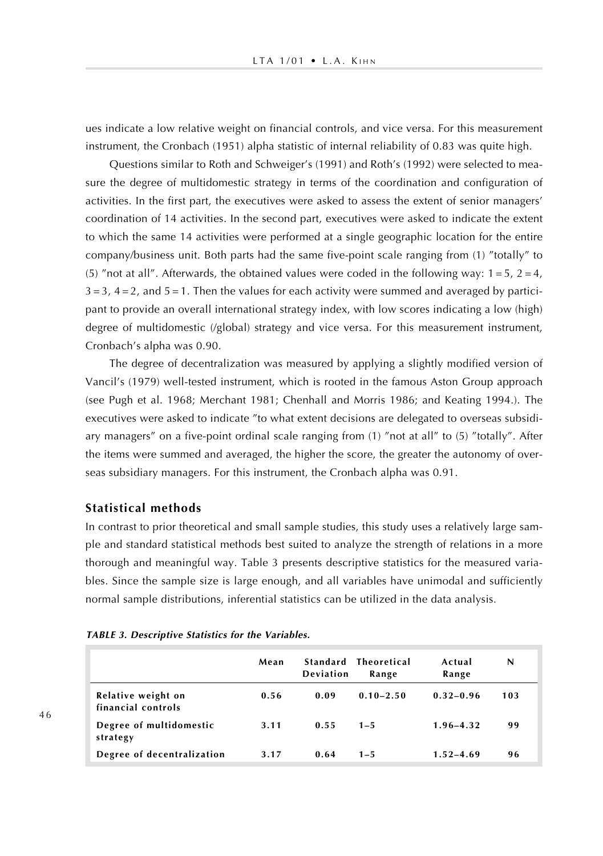ues indicate a low relative weight on financial controls, and vice versa. For this measurement instrument, the Cronbach (1951) alpha statistic of internal reliability of 0.83 was quite high.

Questions similar to Roth and Schweiger's (1991) and Roth's (1992) were selected to measure the degree of multidomestic strategy in terms of the coordination and configuration of activities. In the first part, the executives were asked to assess the extent of senior managers' coordination of 14 activities. In the second part, executives were asked to indicate the extent to which the same 14 activities were performed at a single geographic location for the entire company/business unit. Both parts had the same five-point scale ranging from (1) "totally" to (5) "not at all". Afterwards, the obtained values were coded in the following way:  $1 = 5$ ,  $2 = 4$ ,  $3 = 3$ ,  $4 = 2$ , and  $5 = 1$ . Then the values for each activity were summed and averaged by participant to provide an overall international strategy index, with low scores indicating a low (high) degree of multidomestic (/global) strategy and vice versa. For this measurement instrument, Cronbach's alpha was 0.90.

The degree of decentralization was measured by applying a slightly modified version of Vancil's (1979) well-tested instrument, which is rooted in the famous Aston Group approach (see Pugh et al. 1968; Merchant 1981; Chenhall and Morris 1986; and Keating 1994.). The executives were asked to indicate "to what extent decisions are delegated to overseas subsidiary managers" on a five-point ordinal scale ranging from (1) "not at all" to (5) "totally". After the items were summed and averaged, the higher the score, the greater the autonomy of overseas subsidiary managers. For this instrument, the Cronbach alpha was 0.91.

## **Statistical methods**

In contrast to prior theoretical and small sample studies, this study uses a relatively large sample and standard statistical methods best suited to analyze the strength of relations in a more thorough and meaningful way. Table 3 presents descriptive statistics for the measured variables. Since the sample size is large enough, and all variables have unimodal and sufficiently normal sample distributions, inferential statistics can be utilized in the data analysis.

| <b>TABLE 3. Descriptive Statistics for the Variables.</b> |  |  |  |
|-----------------------------------------------------------|--|--|--|
|-----------------------------------------------------------|--|--|--|

|                                          | Mean | Deviation | Standard Theoretical<br>Range | Actual<br>Range | N   |
|------------------------------------------|------|-----------|-------------------------------|-----------------|-----|
| Relative weight on<br>financial controls | 0.56 | 0.09      | $0.10 - 2.50$                 | $0.32 - 0.96$   | 103 |
| Degree of multidomestic<br>strategy      | 3.11 | 0.55      | $1 - 5$                       | $1.96 - 4.32$   | 99  |
| Degree of decentralization               | 3.17 | 0.64      | $1 - 5$                       | $1.52 - 4.69$   | 96  |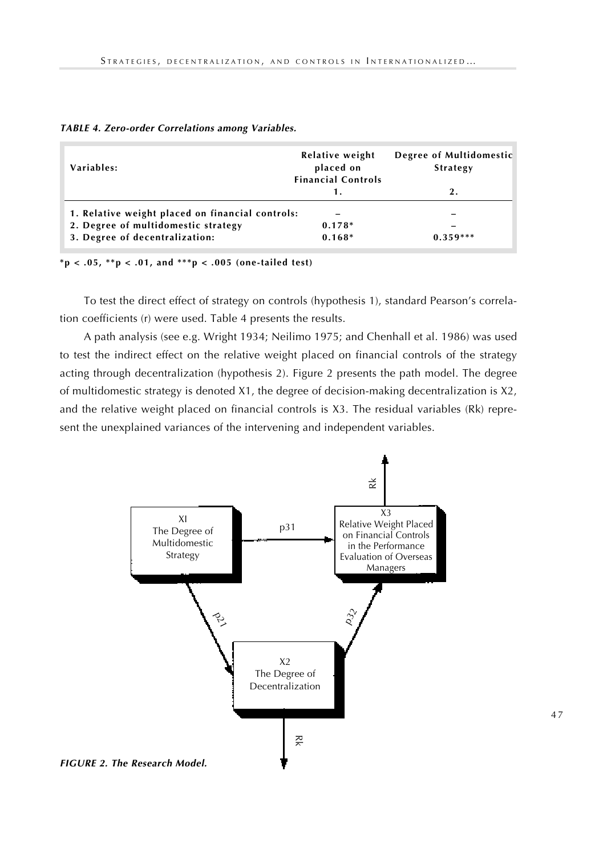| Variables:                                       | Relative weight<br>placed on<br><b>Financial Controls</b> | Degree of Multidomestic<br><b>Strategy</b> |  |  |
|--------------------------------------------------|-----------------------------------------------------------|--------------------------------------------|--|--|
|                                                  | 1.                                                        | 2.                                         |  |  |
| 1. Relative weight placed on financial controls: |                                                           |                                            |  |  |
| 2. Degree of multidomestic strategy              | $0.178*$                                                  | $\overline{\phantom{0}}$                   |  |  |
| 3. Degree of decentralization:                   | $0.168*$                                                  | $0.359***$                                 |  |  |

| TABLE 4. Zero-order Correlations among Variables. |  |  |  |  |  |  |  |  |
|---------------------------------------------------|--|--|--|--|--|--|--|--|
|---------------------------------------------------|--|--|--|--|--|--|--|--|

**\*p < .05, \*\*p < .01, and \*\*\*p < .005 (one-tailed test)**

To test the direct effect of strategy on controls (hypothesis 1), standard Pearson's correlation coefficients (r) were used. Table 4 presents the results.

A path analysis (see e.g. Wright 1934; Neilimo 1975; and Chenhall et al. 1986) was used to test the indirect effect on the relative weight placed on financial controls of the strategy acting through decentralization (hypothesis 2). Figure 2 presents the path model. The degree of multidomestic strategy is denoted X1, the degree of decision-making decentralization is X2, and the relative weight placed on financial controls is X3. The residual variables (Rk) represent the unexplained variances of the intervening and independent variables.

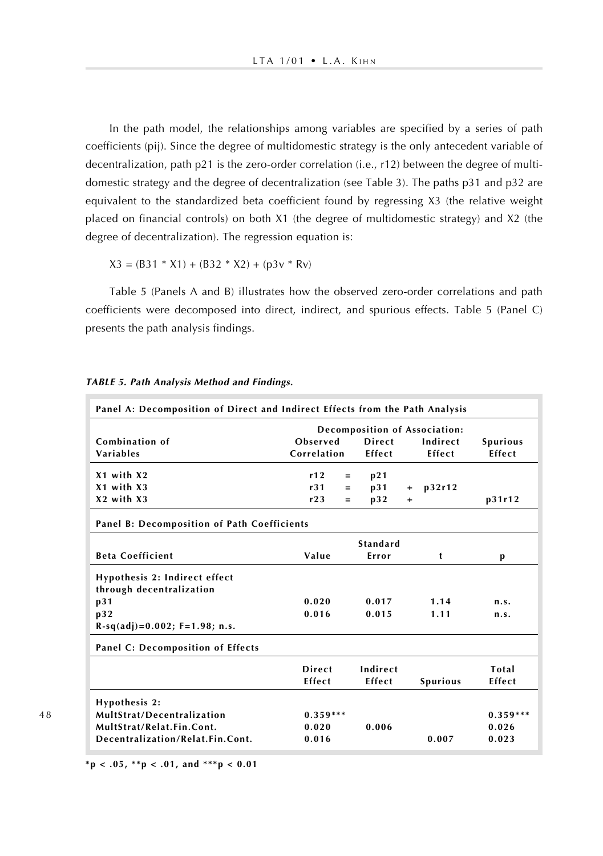In the path model, the relationships among variables are specified by a series of path coefficients (pij). Since the degree of multidomestic strategy is the only antecedent variable of decentralization, path p21 is the zero-order correlation (i.e., r12) between the degree of multidomestic strategy and the degree of decentralization (see Table 3). The paths p31 and p32 are equivalent to the standardized beta coefficient found by regressing X3 (the relative weight placed on financial controls) on both X1 (the degree of multidomestic strategy) and X2 (the degree of decentralization). The regression equation is:

 $X3 = (B31 * X1) + (B32 * X2) + (p3v * Rv)$ 

Table 5 (Panels A and B) illustrates how the observed zero-order correlations and path coefficients were decomposed into direct, indirect, and spurious effects. Table 5 (Panel C) presents the path analysis findings.

| Panel A: Decomposition of Direct and Indirect Effects from the Path Analysis |                               |     |               |           |                 |                 |  |  |
|------------------------------------------------------------------------------|-------------------------------|-----|---------------|-----------|-----------------|-----------------|--|--|
|                                                                              | Decomposition of Association: |     |               |           |                 |                 |  |  |
| Combination of                                                               | Observed                      |     | Direct        |           | Indirect        | <b>Spurious</b> |  |  |
| Variables                                                                    | Correlation                   |     | <b>Fffect</b> |           | Effect          | Effect          |  |  |
| $X1$ with $X2$                                                               | r12                           | $=$ | p21           |           |                 |                 |  |  |
| $X1$ with $X3$                                                               | r31                           | $=$ | p31           | $+$       | p32r12          |                 |  |  |
| $X2$ with $X3$                                                               | r23                           | $=$ | p32           | $\ddot{}$ |                 | p31r12          |  |  |
| <b>Panel B: Decomposition of Path Coefficients</b>                           |                               |     |               |           |                 |                 |  |  |
|                                                                              |                               |     | Standard      |           |                 |                 |  |  |
| <b>Beta Coefficient</b>                                                      | Value                         |     | Error         |           | t               | p               |  |  |
| <b>Hypothesis 2: Indirect effect</b>                                         |                               |     |               |           |                 |                 |  |  |
| through decentralization                                                     |                               |     |               |           |                 |                 |  |  |
| p31                                                                          | 0.020                         |     | 0.017         |           | 1.14            | n.s.            |  |  |
| p32                                                                          | 0.016                         |     | 0.015         |           | 1.11            | n.s.            |  |  |
| $R-sq(adj)=0.002; F=1.98; n.s.$                                              |                               |     |               |           |                 |                 |  |  |
| <b>Panel C: Decomposition of Effects</b>                                     |                               |     |               |           |                 |                 |  |  |
|                                                                              | Direct                        |     | Indirect      |           |                 | Total           |  |  |
|                                                                              | Effect                        |     | Effect        |           | <b>Spurious</b> | Effect          |  |  |
| Hypothesis 2:                                                                |                               |     |               |           |                 |                 |  |  |
| MultStrat/Decentralization                                                   | $0.359***$                    |     |               |           |                 | $0.359***$      |  |  |
| MultStrat/Relat.Fin.Cont.                                                    | 0.020                         |     | 0.006         |           |                 | 0.026           |  |  |
| Decentralization/Relat.Fin.Cont.                                             | 0.016                         |     |               |           | 0.007           | 0.023           |  |  |

#### **TABLE 5. Path Analysis Method and Findings.**

**\*p < .05, \*\*p < .01, and \*\*\*p < 0.01**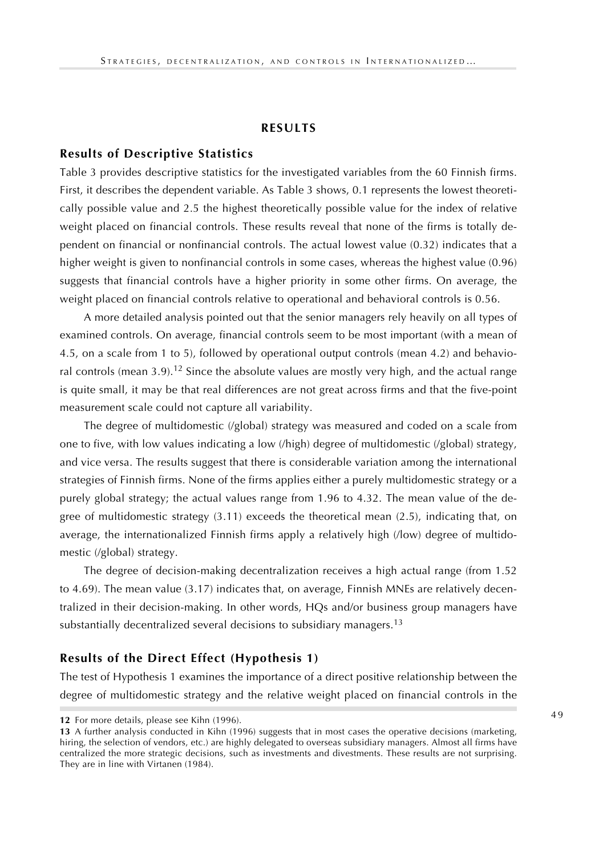#### **RESULTS**

#### **Results of Descriptive Statistics**

Table 3 provides descriptive statistics for the investigated variables from the 60 Finnish firms. First, it describes the dependent variable. As Table 3 shows, 0.1 represents the lowest theoretically possible value and 2.5 the highest theoretically possible value for the index of relative weight placed on financial controls. These results reveal that none of the firms is totally dependent on financial or nonfinancial controls. The actual lowest value (0.32) indicates that a higher weight is given to nonfinancial controls in some cases, whereas the highest value (0.96) suggests that financial controls have a higher priority in some other firms. On average, the weight placed on financial controls relative to operational and behavioral controls is 0.56.

A more detailed analysis pointed out that the senior managers rely heavily on all types of examined controls. On average, financial controls seem to be most important (with a mean of 4.5, on a scale from 1 to 5), followed by operational output controls (mean 4.2) and behavioral controls (mean  $3.9$ ).<sup>12</sup> Since the absolute values are mostly very high, and the actual range is quite small, it may be that real differences are not great across firms and that the five-point measurement scale could not capture all variability.

The degree of multidomestic (/global) strategy was measured and coded on a scale from one to five, with low values indicating a low (/high) degree of multidomestic (/global) strategy, and vice versa. The results suggest that there is considerable variation among the international strategies of Finnish firms. None of the firms applies either a purely multidomestic strategy or a purely global strategy; the actual values range from 1.96 to 4.32. The mean value of the degree of multidomestic strategy (3.11) exceeds the theoretical mean (2.5), indicating that, on average, the internationalized Finnish firms apply a relatively high (/low) degree of multidomestic (/global) strategy.

The degree of decision-making decentralization receives a high actual range (from 1.52 to 4.69). The mean value (3.17) indicates that, on average, Finnish MNEs are relatively decentralized in their decision-making. In other words, HQs and/or business group managers have substantially decentralized several decisions to subsidiary managers.<sup>13</sup>

#### **Results of the Direct Effect (Hypothesis 1)**

The test of Hypothesis 1 examines the importance of a direct positive relationship between the degree of multidomestic strategy and the relative weight placed on financial controls in the

**<sup>12</sup>** For more details, please see Kihn (1996).

**<sup>13</sup>** A further analysis conducted in Kihn (1996) suggests that in most cases the operative decisions (marketing, hiring, the selection of vendors, etc.) are highly delegated to overseas subsidiary managers. Almost all firms have centralized the more strategic decisions, such as investments and divestments. These results are not surprising. They are in line with Virtanen (1984).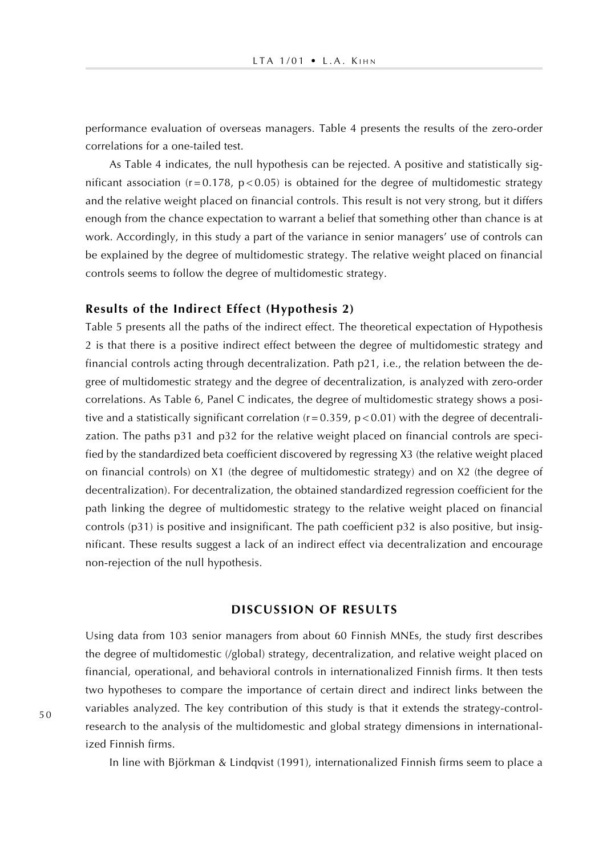performance evaluation of overseas managers. Table 4 presents the results of the zero-order correlations for a one-tailed test.

As Table 4 indicates, the null hypothesis can be rejected. A positive and statistically significant association  $(r = 0.178, p < 0.05)$  is obtained for the degree of multidomestic strategy and the relative weight placed on financial controls. This result is not very strong, but it differs enough from the chance expectation to warrant a belief that something other than chance is at work. Accordingly, in this study a part of the variance in senior managers' use of controls can be explained by the degree of multidomestic strategy. The relative weight placed on financial controls seems to follow the degree of multidomestic strategy.

## **Results of the Indirect Effect (Hypothesis 2)**

Table 5 presents all the paths of the indirect effect. The theoretical expectation of Hypothesis 2 is that there is a positive indirect effect between the degree of multidomestic strategy and financial controls acting through decentralization. Path p21, i.e., the relation between the degree of multidomestic strategy and the degree of decentralization, is analyzed with zero-order correlations. As Table 6, Panel C indicates, the degree of multidomestic strategy shows a positive and a statistically significant correlation  $(r = 0.359, p < 0.01)$  with the degree of decentralization. The paths p31 and p32 for the relative weight placed on financial controls are specified by the standardized beta coefficient discovered by regressing X3 (the relative weight placed on financial controls) on X1 (the degree of multidomestic strategy) and on X2 (the degree of decentralization). For decentralization, the obtained standardized regression coefficient for the path linking the degree of multidomestic strategy to the relative weight placed on financial controls (p31) is positive and insignificant. The path coefficient p32 is also positive, but insignificant. These results suggest a lack of an indirect effect via decentralization and encourage non-rejection of the null hypothesis.

#### **DISCUSSION OF RESULTS**

Using data from 103 senior managers from about 60 Finnish MNEs, the study first describes the degree of multidomestic (/global) strategy, decentralization, and relative weight placed on financial, operational, and behavioral controls in internationalized Finnish firms. It then tests two hypotheses to compare the importance of certain direct and indirect links between the variables analyzed. The key contribution of this study is that it extends the strategy-controlresearch to the analysis of the multidomestic and global strategy dimensions in internationalized Finnish firms.

In line with Björkman & Lindqvist (1991), internationalized Finnish firms seem to place a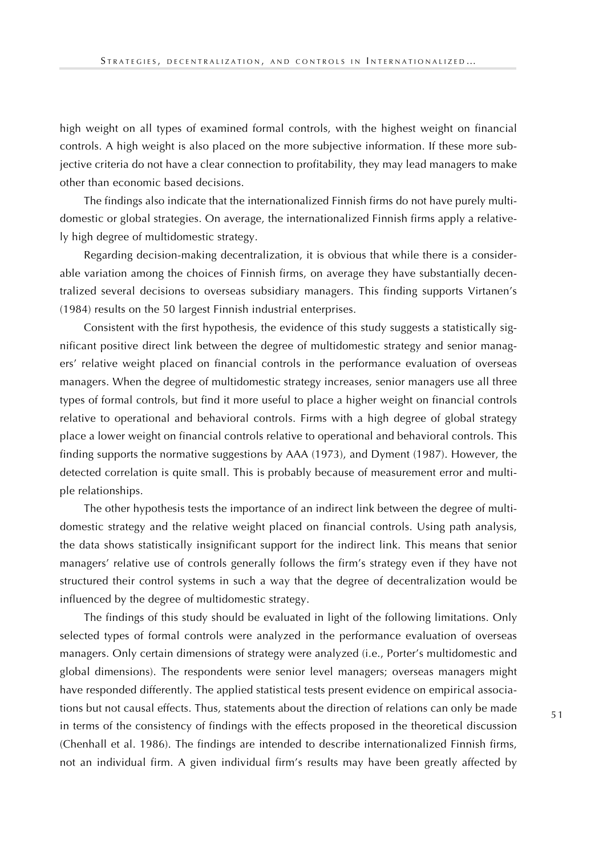high weight on all types of examined formal controls, with the highest weight on financial controls. A high weight is also placed on the more subjective information. If these more subjective criteria do not have a clear connection to profitability, they may lead managers to make other than economic based decisions.

The findings also indicate that the internationalized Finnish firms do not have purely multidomestic or global strategies. On average, the internationalized Finnish firms apply a relatively high degree of multidomestic strategy.

Regarding decision-making decentralization, it is obvious that while there is a considerable variation among the choices of Finnish firms, on average they have substantially decentralized several decisions to overseas subsidiary managers. This finding supports Virtanen's (1984) results on the 50 largest Finnish industrial enterprises.

Consistent with the first hypothesis, the evidence of this study suggests a statistically significant positive direct link between the degree of multidomestic strategy and senior managers' relative weight placed on financial controls in the performance evaluation of overseas managers. When the degree of multidomestic strategy increases, senior managers use all three types of formal controls, but find it more useful to place a higher weight on financial controls relative to operational and behavioral controls. Firms with a high degree of global strategy place a lower weight on financial controls relative to operational and behavioral controls. This finding supports the normative suggestions by AAA (1973), and Dyment (1987). However, the detected correlation is quite small. This is probably because of measurement error and multiple relationships.

The other hypothesis tests the importance of an indirect link between the degree of multidomestic strategy and the relative weight placed on financial controls. Using path analysis, the data shows statistically insignificant support for the indirect link. This means that senior managers' relative use of controls generally follows the firm's strategy even if they have not structured their control systems in such a way that the degree of decentralization would be influenced by the degree of multidomestic strategy.

The findings of this study should be evaluated in light of the following limitations. Only selected types of formal controls were analyzed in the performance evaluation of overseas managers. Only certain dimensions of strategy were analyzed (i.e., Porter's multidomestic and global dimensions). The respondents were senior level managers; overseas managers might have responded differently. The applied statistical tests present evidence on empirical associations but not causal effects. Thus, statements about the direction of relations can only be made in terms of the consistency of findings with the effects proposed in the theoretical discussion (Chenhall et al. 1986). The findings are intended to describe internationalized Finnish firms, not an individual firm. A given individual firm's results may have been greatly affected by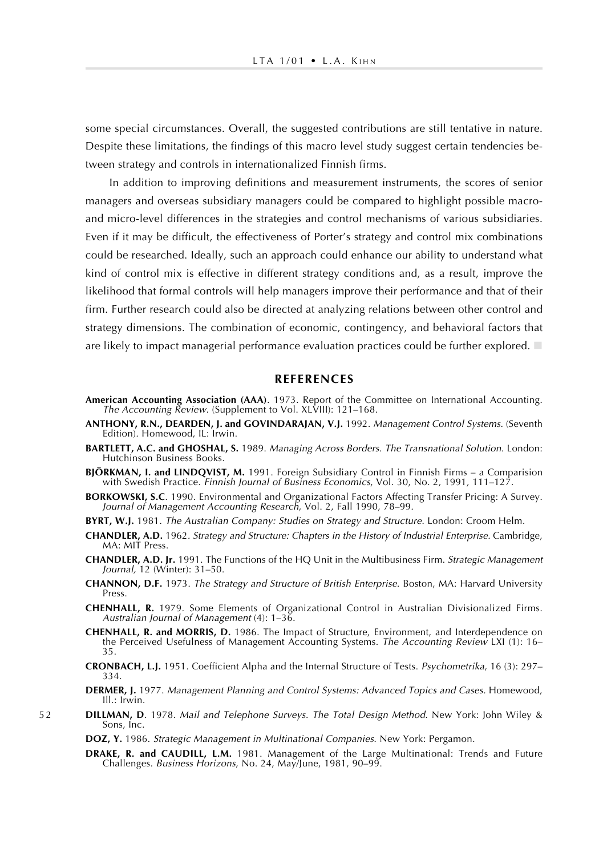some special circumstances. Overall, the suggested contributions are still tentative in nature. Despite these limitations, the findings of this macro level study suggest certain tendencies between strategy and controls in internationalized Finnish firms.

In addition to improving definitions and measurement instruments, the scores of senior managers and overseas subsidiary managers could be compared to highlight possible macroand micro-level differences in the strategies and control mechanisms of various subsidiaries. Even if it may be difficult, the effectiveness of Porter's strategy and control mix combinations could be researched. Ideally, such an approach could enhance our ability to understand what kind of control mix is effective in different strategy conditions and, as a result, improve the likelihood that formal controls will help managers improve their performance and that of their firm. Further research could also be directed at analyzing relations between other control and strategy dimensions. The combination of economic, contingency, and behavioral factors that are likely to impact managerial performance evaluation practices could be further explored.  $\Box$ 

#### **REFERENCES**

- **American Accounting Association (AAA)**. 1973. Report of the Committee on International Accounting. The Accounting Review. (Supplement to Vol. XLVIII): 121–168.
- **ANTHONY, R.N., DEARDEN, J. and GOVINDARAJAN, V.J.** 1992. Management Control Systems. (Seventh Edition). Homewood, IL: Irwin.
- **BARTLETT, A.C. and GHOSHAL, S.** 1989. Managing Across Borders. The Transnational Solution. London: Hutchinson Business Books.
- **BJÖRKMAN, I. and LINDQVIST, M.** 1991. Foreign Subsidiary Control in Finnish Firms a Comparision with Swedish Practice. Finnish Journal of Business Economics, Vol. 30, No. 2, 1991, 111–127.
- **BORKOWSKI, S.C**. 1990. Environmental and Organizational Factors Affecting Transfer Pricing: A Survey. Journal of Management Accounting Research, Vol. 2, Fall 1990, 78–99.
- **BYRT, W.J.** 1981. The Australian Company: Studies on Strategy and Structure. London: Croom Helm.
- **CHANDLER, A.D.** 1962. Strategy and Structure: Chapters in the History of Industrial Enterprise. Cambridge, MA: MIT Press.
- **CHANDLER, A.D. Jr.** 1991. The Functions of the HQ Unit in the Multibusiness Firm. Strategic Management Journal, 12 (Winter): 31–50.
- **CHANNON, D.F.** 1973. The Strategy and Structure of British Enterprise. Boston, MA: Harvard University Press.
- **CHENHALL, R.** 1979. Some Elements of Organizational Control in Australian Divisionalized Firms. Australian Journal of Management (4): 1–36.
- **CHENHALL, R. and MORRIS, D.** 1986. The Impact of Structure, Environment, and Interdependence on the Perceived Usefulness of Management Accounting Systems. The Accounting Review LXI (1): 16– 35.
- **CRONBACH, L.J.** 1951. Coefficient Alpha and the Internal Structure of Tests. Psychometrika, 16 (3): 297– 334.
- **DERMER, J.** 1977. Management Planning and Control Systems: Advanced Topics and Cases. Homewood, Ill.: Irwin.
- 5 2 **DILLMAN, D**. 1978. Mail and Telephone Surveys. The Total Design Method. New York: John Wiley & Sons, Inc.

**DOZ, Y.** 1986. Strategic Management in Multinational Companies. New York: Pergamon.

**DRAKE, R. and CAUDILL, L.M.** 1981. Management of the Large Multinational: Trends and Future Challenges. Business Horizons, No. 24, May/June, 1981, 90–99.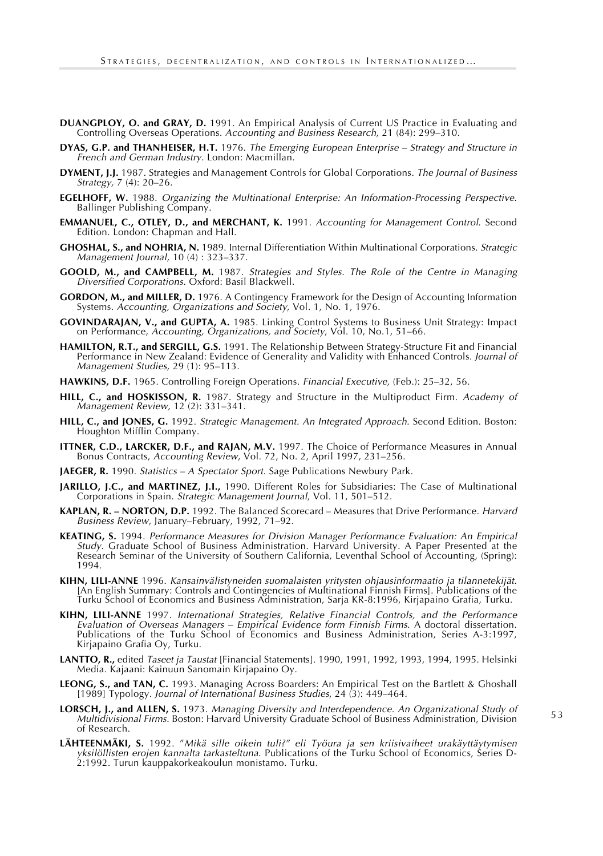- **DUANGPLOY, O. and GRAY, D.** 1991. An Empirical Analysis of Current US Practice in Evaluating and Controlling Overseas Operations. Accounting and Business Research, 21 (84): 299–310.
- **DYAS, G.P. and THANHEISER, H.T.** 1976. The Emerging European Enterprise Strategy and Structure in French and German Industry. London: Macmillan.
- **DYMENT, J.J.** 1987. Strategies and Management Controls for Global Corporations. The Journal of Business Strategy, 7 (4): 20–26.
- **EGELHOFF, W.** 1988. Organizing the Multinational Enterprise: An Information-Processing Perspective. Ballinger Publishing Company.
- **EMMANUEL, C., OTLEY, D., and MERCHANT, K.** 1991. Accounting for Management Control. Second Edition. London: Chapman and Hall.
- **GHOSHAL, S., and NOHRIA, N.** 1989. Internal Differentiation Within Multinational Corporations. Strategic Management Journal, 10 (4) : 323–337.
- **GOOLD, M., and CAMPBELL, M.** 1987. Strategies and Styles. The Role of the Centre in Managing Diversified Corporations. Oxford: Basil Blackwell.
- **GORDON, M., and MILLER, D.** 1976. A Contingency Framework for the Design of Accounting Information Systems. Accounting, Organizations and Society, Vol. 1, No. 1, 1976.
- **GOVINDARAJAN, V., and GUPTA, A.** 1985. Linking Control Systems to Business Unit Strategy: Impact on Performance, Accounting, Organizations, and Society, Vol. 10, No.1, 51-66.
- **HAMILTON, R.T., and SERGILL, G.S.** 1991. The Relationship Between Strategy-Structure Fit and Financial Performance in New Zealand: Evidence of Generality and Validity with Enhanced Controls. Journal of Management Studies, 29 (1): 95–113.
- **HAWKINS, D.F.** 1965. Controlling Foreign Operations. Financial Executive, (Feb.): 25–32, 56.
- **HILL, C., and HOSKISSON, R.** 1987. Strategy and Structure in the Multiproduct Firm. Academy of Management Review, 12 (2): 331–341.
- **HILL, C., and JONES, G.** 1992. Strategic Management. An Integrated Approach. Second Edition. Boston: Houghton Mifflin Company.
- **ITTNER, C.D., LARCKER, D.F., and RAJAN, M.V.** 1997. The Choice of Performance Measures in Annual Bonus Contracts, Accounting Review, Vol. 72, No. 2, April 1997, 231–256.
- JAEGER, R. 1990. Statistics A Spectator Sport. Sage Publications Newbury Park.
- **JARILLO, J.C., and MARTINEZ, J.I.,** 1990. Different Roles for Subsidiaries: The Case of Multinational Corporations in Spain. Strategic Management Journal, Vol. 11, 501–512.
- **KAPLAN, R. NORTON, D.P.** 1992. The Balanced Scorecard Measures that Drive Performance. Harvard Business Review, January–February, 1992, 71–92.
- **KEATING, S.** 1994. Performance Measures for Division Manager Performance Evaluation: An Empirical Study. Graduate School of Business Administration. Harvard University. A Paper Presented at the Research Seminar of the University of Southern California, Leventhal School of Accounting, (Spring): 1994.
- **KIHN, LILI-ANNE** 1996. Kansainvälistyneiden suomalaisten yritysten ohjausinformaatio ja tilannetekijät. [An English Summary: Controls and Contingencies of Multinational Finnish Firms]. Publications of the Turku School of Economics and Business Administration, Sarja KR-8:1996, Kirjapaino Grafia, Turku.
- **KIHN, LILI-ANNE** 1997. International Strategies, Relative Financial Controls, and the Performance Evaluation of Overseas Managers – Empirical Evidence form Finnish Firms. A doctoral dissertation. Publications of the Turku School of Economics and Business Administration, Series A-3:1997, Kirjapaino Grafia Oy, Turku.
- **LANTTO, R.,** edited Taseet ja Taustat [Financial Statements]. 1990, 1991, 1992, 1993, 1994, 1995. Helsinki Media. Kajaani: Kainuun Sanomain Kirjapaino Oy.
- **LEONG, S., and TAN, C.** 1993. Managing Across Boarders: An Empirical Test on the Bartlett & Ghoshall [1989] Typology. Journal of International Business Studies, 24 (3): 449–464.
- **LORSCH, J., and ALLEN, S.** 1973. Managing Diversity and Interdependence. An Organizational Study of Multidivisional Firms. Boston: Harvard University Graduate School of Business Administration, Division of Research.
- **LÄHTEENMÄKI, S.** 1992. "Mikä sille oikein tuli?" eli Työura ja sen kriisivaiheet urakäyttäytymisen yksilöllisten erojen kannalta tarkasteltuna. Publications of the Turku School of Economics, Series D-2:1992. Turun kauppakorkeakoulun monistamo. Turku.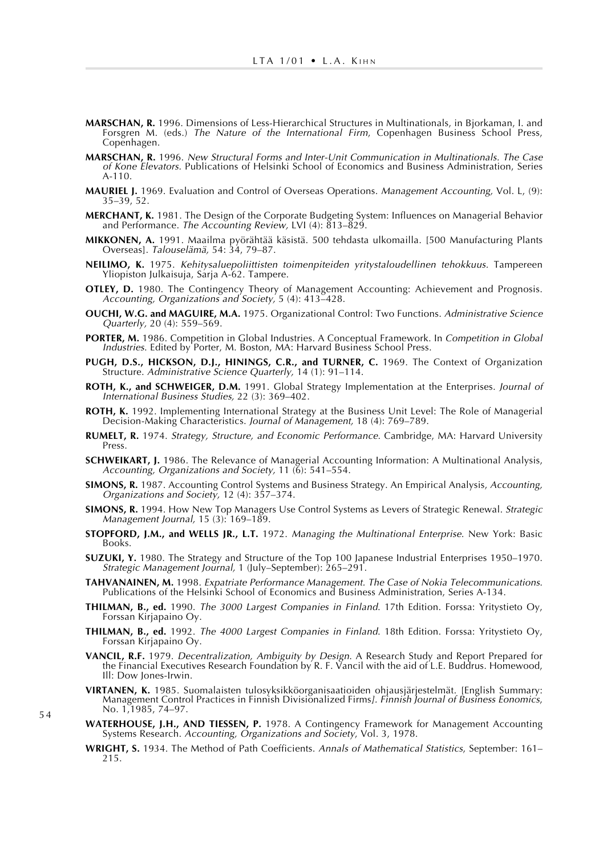- **MARSCHAN, R.** 1996. Dimensions of Less-Hierarchical Structures in Multinationals, in Bjorkaman, I. and Forsgren M. (eds.) The Nature of the International Firm, Copenhagen Business School Press, Copenhagen.
- **MARSCHAN, R.** 1996. New Structural Forms and Inter-Unit Communication in Multinationals. The Case of Kone Elevators. Publications of Helsinki School of Economics and Business Administration, Series A-110.
- **MAURIEL J.** 1969. Evaluation and Control of Overseas Operations. Management Accounting, Vol. L, (9): 35–39, 52.
- **MERCHANT, K.** 1981. The Design of the Corporate Budgeting System: Influences on Managerial Behavior and Performance. The Accounting Review, LVI (4): 813-829.
- **MIKKONEN, A.** 1991. Maailma pyörähtää käsistä. 500 tehdasta ulkomailla. [500 Manufacturing Plants Overseas]. Talouselämä, 54: 34, 79–87.
- **NEILIMO, K.** 1975. Kehitysaluepoliittisten toimenpiteiden yritystaloudellinen tehokkuus. Tampereen Yliopiston Julkaisuja, Sarja A-62. Tampere.
- **OTLEY, D.** 1980. The Contingency Theory of Management Accounting: Achievement and Prognosis. Accounting, Organizations and Society, 5 (4): 413–428.
- **OUCHI, W.G. and MAGUIRE, M.A.** 1975. Organizational Control: Two Functions. Administrative Science Quarterly, 20 (4): 559–569.
- PORTER, M. 1986. Competition in Global Industries. A Conceptual Framework. In Competition in Global Industries. Edited by Porter, M. Boston, MA: Harvard Business School Press.
- **PUGH, D.S., HICKSON, D.J., HININGS, C.R., and TURNER, C.** 1969. The Context of Organization Structure. Administrative Science Quarterly, 14 (1): 91–114.
- **ROTH, K., and SCHWEIGER, D.M.** 1991. Global Strategy Implementation at the Enterprises. Journal of International Business Studies, 22 (3): 369–402.
- **ROTH, K.** 1992. Implementing International Strategy at the Business Unit Level: The Role of Managerial Decision-Making Characteristics. Journal of Management, 18 (4): 769–789.
- **RUMELT, R.** 1974. Strategy, Structure, and Economic Performance. Cambridge, MA: Harvard University Press.
- **SCHWEIKART, J.** 1986. The Relevance of Managerial Accounting Information: A Multinational Analysis, Accounting, Organizations and Society, 11 (6): 541–554.
- **SIMONS, R.** 1987. Accounting Control Systems and Business Strategy. An Empirical Analysis, Accounting, Organizations and Society, 12 (4): 357–374.
- **SIMONS, R.** 1994. How New Top Managers Use Control Systems as Levers of Strategic Renewal. Strategic Management Journal, 15 (3): 169–189.
- **STOPFORD, J.M., and WELLS JR., L.T.** 1972. Managing the Multinational Enterprise. New York: Basic Books.
- **SUZUKI, Y.** 1980. The Strategy and Structure of the Top 100 Japanese Industrial Enterprises 1950–1970. Strategic Management Journal, 1 (July–September): 265–291.
- **TAHVANAINEN, M.** 1998. Expatriate Performance Management. The Case of Nokia Telecommunications. Publications of the Helsinki School of Economics and Business Administration, Series A-134.
- **THILMAN, B., ed.** 1990. The 3000 Largest Companies in Finland. 17th Edition. Forssa: Yritystieto Oy, Forssan Kirjapaino Oy.
- **THILMAN, B., ed.** 1992. The 4000 Largest Companies in Finland. 18th Edition. Forssa: Yritystieto Oy, Forssan Kirjapaino Oy.
- **VANCIL, R.F.** 1979. Decentralization, Ambiguity by Design. A Research Study and Report Prepared for the Financial Executives Research Foundation by R. F. Vancil with the aid of L.E. Buddrus. Homewood, Ill: Dow Jones-Irwin.
- **VIRTANEN, K.** 1985. Suomalaisten tulosyksikköorganisaatioiden ohjausjärjestelmät. [English Summary: Management Control Practices in Finnish Divisionalized Firms]. Finnish Journal of Business Eonomics, No. 1,1985, 74–97.
- WATERHOUSE, J.H., AND TIESSEN, P. 1978. A Contingency Framework for Management Accounting Systems Research. Accounting, Organizations and Society, Vol. 3, 1978.
- **WRIGHT, S.** 1934. The Method of Path Coefficients. Annals of Mathematical Statistics, September: 161– 215.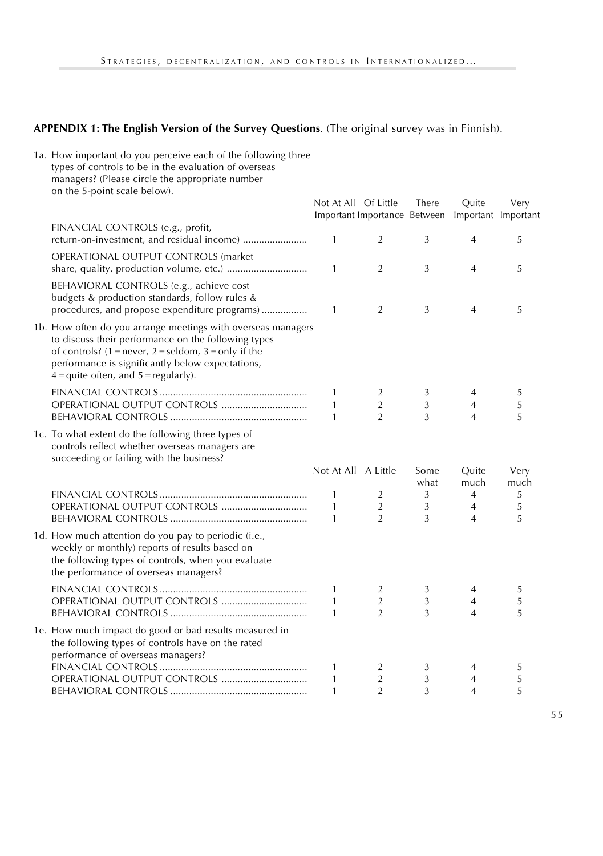# **APPENDIX 1: The English Version of the Survey Questions**. (The original survey was in Finnish).

| 1a. How important do you perceive each of the following three<br>types of controls to be in the evaluation of overseas<br>managers? (Please circle the appropriate number<br>on the 5-point scale below).                                                                     |                                   |                                      |             |                                       |             |
|-------------------------------------------------------------------------------------------------------------------------------------------------------------------------------------------------------------------------------------------------------------------------------|-----------------------------------|--------------------------------------|-------------|---------------------------------------|-------------|
|                                                                                                                                                                                                                                                                               | Not At All Of Little              | Important Importance Between         | There       | Quite<br>Important Important          | Very        |
| FINANCIAL CONTROLS (e.g., profit,<br>return-on-investment, and residual income)                                                                                                                                                                                               | 1                                 | $\overline{2}$                       | 3           | $\overline{4}$                        | 5           |
| OPERATIONAL OUTPUT CONTROLS (market                                                                                                                                                                                                                                           | 1                                 | $\overline{2}$                       | 3           | $\overline{4}$                        | 5           |
| BEHAVIORAL CONTROLS (e.g., achieve cost<br>budgets & production standards, follow rules &<br>procedures, and propose expenditure programs)                                                                                                                                    | 1                                 | $\overline{2}$                       | 3           | $\overline{4}$                        | 5           |
| 1b. How often do you arrange meetings with overseas managers<br>to discuss their performance on the following types<br>of controls? $(1 = never, 2 = seldom, 3 = only if the$<br>performance is significantly below expectations,<br>$4 =$ quite often, and $5 =$ regularly). |                                   |                                      |             |                                       |             |
|                                                                                                                                                                                                                                                                               | 1<br>$\mathbf{1}$<br>$\mathbf{1}$ | 2<br>$\overline{2}$<br>$\mathcal{P}$ | 3<br>3<br>3 | 4<br>$\overline{4}$<br>$\overline{4}$ | 5<br>5<br>5 |
| 1c. To what extent do the following three types of<br>controls reflect whether overseas managers are<br>succeeding or failing with the business?                                                                                                                              | Not At All A Little               |                                      | Some        | Quite                                 | Very        |
|                                                                                                                                                                                                                                                                               |                                   |                                      | what        | much                                  | much        |
|                                                                                                                                                                                                                                                                               | 1                                 | 2                                    | 3           | 4                                     | 5           |
|                                                                                                                                                                                                                                                                               | 1<br>1                            | $\overline{2}$<br>$\overline{2}$     | 3<br>3      | $\overline{4}$<br>$\overline{4}$      | 5<br>5      |
| 1d. How much attention do you pay to periodic (i.e.,<br>weekly or monthly) reports of results based on<br>the following types of controls, when you evaluate<br>the performance of overseas managers?                                                                         |                                   |                                      |             |                                       |             |
|                                                                                                                                                                                                                                                                               | 1                                 | 2                                    | 3           | 4                                     | 5           |
|                                                                                                                                                                                                                                                                               | $\mathbf{1}$                      | $\overline{2}$                       | 3           | $\overline{4}$                        | 5           |
|                                                                                                                                                                                                                                                                               | $\mathbf{1}$                      | $\overline{2}$                       | 3           | $\overline{4}$                        | 5           |
| 1e. How much impact do good or bad results measured in<br>the following types of controls have on the rated<br>performance of overseas managers?                                                                                                                              |                                   |                                      |             |                                       |             |
|                                                                                                                                                                                                                                                                               | 1                                 | 2                                    | 3           | 4                                     | 5           |
|                                                                                                                                                                                                                                                                               | 1                                 | $\overline{2}$                       | 3           | 4                                     | 5           |
|                                                                                                                                                                                                                                                                               | $\mathbf{1}$                      | $\overline{2}$                       | 3           | $\overline{4}$                        | 5           |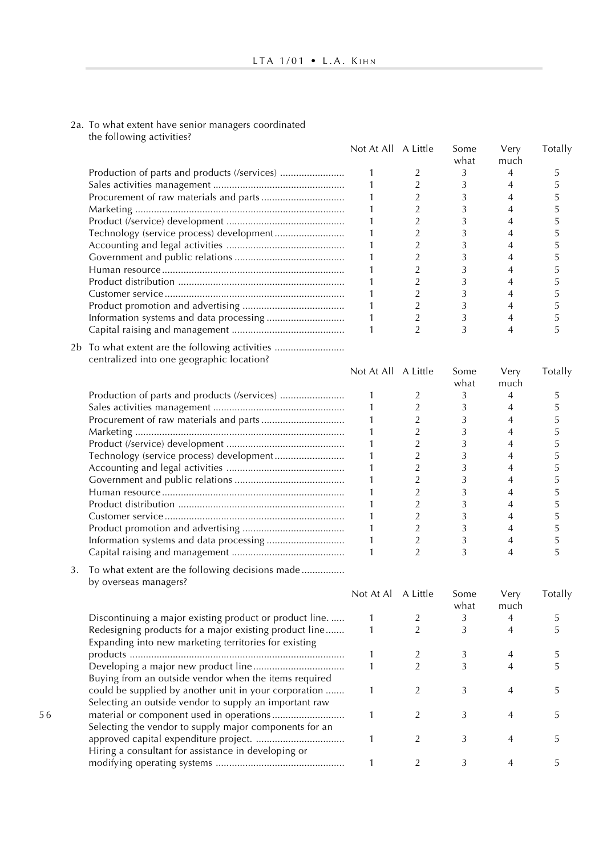#### 2a. To what extent have senior managers coordinated the following activities?

5 6

|    |                                                                                                                 | Not At All A Little |                | Some<br>what | Very<br>much   | Totally |
|----|-----------------------------------------------------------------------------------------------------------------|---------------------|----------------|--------------|----------------|---------|
|    |                                                                                                                 | 1                   | 2              | 3            | $\overline{4}$ | 5       |
|    |                                                                                                                 | 1                   | $\overline{2}$ | 3            | $\overline{4}$ | 5       |
|    |                                                                                                                 | 1                   | 2              | 3            | 4              | 5       |
|    |                                                                                                                 | 1                   | $\overline{2}$ | 3            | $\overline{4}$ | 5       |
|    |                                                                                                                 | $\mathbf{1}$        | $\overline{2}$ | 3            | $\overline{4}$ | 5       |
|    |                                                                                                                 | 1                   | $\overline{2}$ | 3            | $\overline{4}$ | 5       |
|    |                                                                                                                 | 1                   | $\overline{2}$ | 3            | $\overline{4}$ | 5       |
|    |                                                                                                                 | 1                   | $\overline{2}$ | 3            | $\overline{4}$ | 5       |
|    |                                                                                                                 | 1                   | $\overline{2}$ | 3            | 4              | 5       |
|    |                                                                                                                 | 1                   | $\overline{2}$ | 3            | 4              | 5       |
|    |                                                                                                                 | 1                   | $\overline{2}$ | 3            | $\overline{4}$ | 5       |
|    |                                                                                                                 | 1                   | $\overline{2}$ | 3            | $\overline{4}$ | 5       |
|    |                                                                                                                 | 1                   | $\overline{2}$ | 3            | $\overline{4}$ | 5       |
|    |                                                                                                                 | $\mathbf{1}$        | $\overline{2}$ | 3            | $\overline{4}$ | 5       |
|    | 2b To what extent are the following activities<br>centralized into one geographic location?                     |                     |                |              |                |         |
|    |                                                                                                                 | Not At All A Little |                | Some<br>what | Very<br>much   | Totally |
|    |                                                                                                                 | 1                   | 2              | 3            | $\overline{4}$ | 5       |
|    |                                                                                                                 | 1                   | $\overline{2}$ | 3            | 4              | 5       |
|    |                                                                                                                 | 1                   | $\overline{2}$ | 3            | $\overline{4}$ | 5       |
|    |                                                                                                                 | 1                   | $\overline{2}$ | 3            | $\overline{4}$ | 5       |
|    |                                                                                                                 | 1                   | $\overline{2}$ | 3            | $\overline{4}$ | 5       |
|    |                                                                                                                 | $\mathbf{1}$        | $\overline{2}$ | 3            | $\overline{4}$ | 5       |
|    |                                                                                                                 | 1                   | $\overline{2}$ | 3            | 4              | 5       |
|    |                                                                                                                 | 1                   | $\overline{2}$ | 3            | $\overline{4}$ | 5       |
|    |                                                                                                                 | 1                   | $\overline{2}$ | 3            | $\overline{4}$ | 5       |
|    |                                                                                                                 | 1                   | $\overline{2}$ | 3            | 4              | 5       |
|    |                                                                                                                 | 1                   | $\overline{2}$ | 3            | $\overline{4}$ | 5       |
|    |                                                                                                                 | 1                   | $\overline{2}$ | 3            | $\overline{4}$ | 5       |
|    |                                                                                                                 | 1                   | $\overline{2}$ | 3            | $\overline{4}$ | 5       |
|    |                                                                                                                 | 1                   | 2              | 3            | $\overline{4}$ | 5       |
| 3. | To what extent are the following decisions made<br>by overseas managers?                                        |                     |                |              |                |         |
|    |                                                                                                                 | Not At Al A Little  |                | Some<br>what | Very<br>much   | Totally |
|    | Discontinuing a major existing product or product line                                                          | 1                   | 2              | 3            | 4              | 5       |
|    | Redesigning products for a major existing product line<br>Expanding into new marketing territories for existing | 1                   | $\overline{2}$ | 3            | 4              | 5       |
|    |                                                                                                                 | 1                   | $\overline{2}$ | 3            | 4              | 5       |
|    |                                                                                                                 | 1                   | $\overline{2}$ | 3            | $\overline{4}$ | 5       |
|    | Buying from an outside vendor when the items required                                                           |                     |                |              |                |         |
|    | could be supplied by another unit in your corporation                                                           | 1                   | 2              | 3            | 4              | 5       |
|    | Selecting an outside vendor to supply an important raw                                                          |                     |                |              |                |         |
|    |                                                                                                                 | 1                   | 2              | 3            | $\overline{4}$ | 5       |
|    | Selecting the vendor to supply major components for an                                                          |                     |                |              |                |         |
|    |                                                                                                                 | 1                   | $\overline{2}$ | 3            | 4              | 5       |
|    | Hiring a consultant for assistance in developing or                                                             |                     |                |              |                |         |
|    |                                                                                                                 | 1                   | $\overline{2}$ | 3            | $\overline{4}$ | 5       |